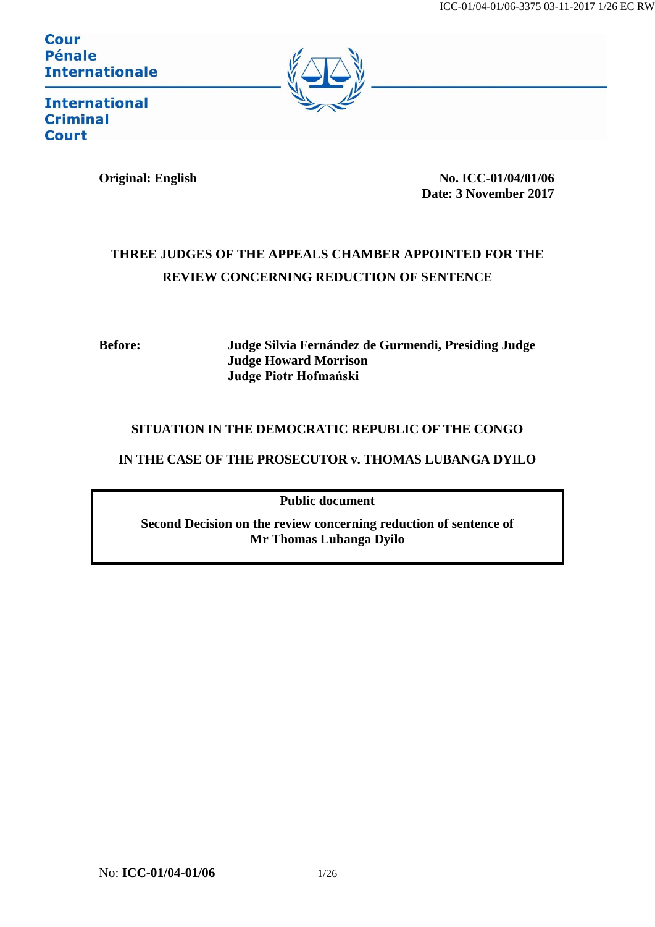**Cour Pénale Internationale** 



**International Criminal Court** 

**Original: English No. ICC-01/04/01/06 Date: 3 November 2017**

# **THREE JUDGES OF THE APPEALS CHAMBER APPOINTED FOR THE REVIEW CONCERNING REDUCTION OF SENTENCE**

**Before: Judge Silvia Fernández de Gurmendi, Presiding Judge Judge Howard Morrison Judge Piotr Hofmański**

# **SITUATION IN THE DEMOCRATIC REPUBLIC OF THE CONGO**

**IN THE CASE OF THE PROSECUTOR v. THOMAS LUBANGA DYILO**

**Public document**

**Second Decision on the review concerning reduction of sentence of Mr Thomas Lubanga Dyilo**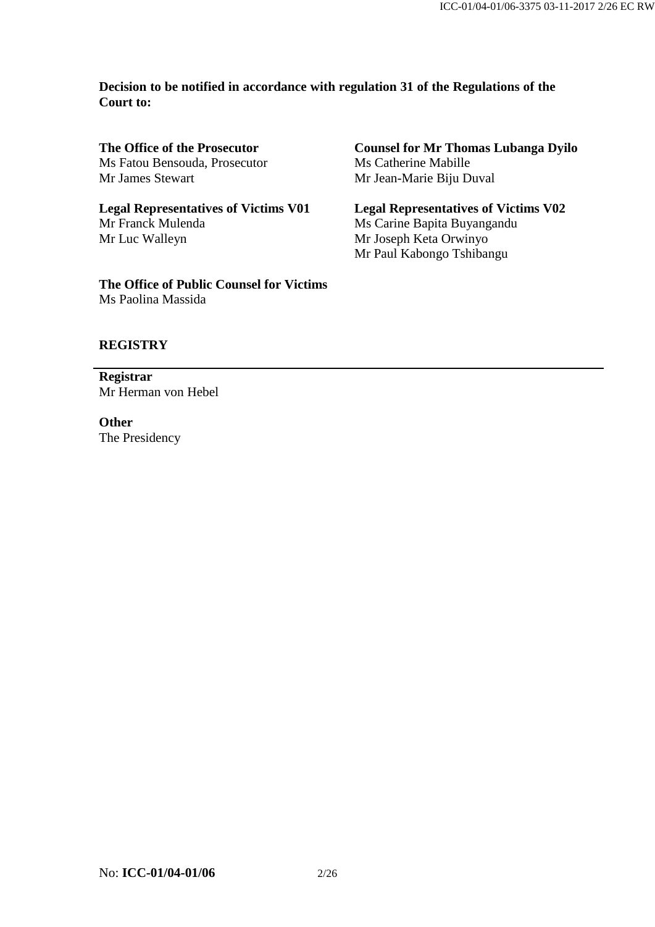**Decision to be notified in accordance with regulation 31 of the Regulations of the Court to:**

**The Office of the Prosecutor** Ms Fatou Bensouda, Prosecutor Mr James Stewart

**Legal Representatives of Victims V01** Mr Franck Mulenda Mr Luc Walleyn

**The Office of Public Counsel for Victims** Ms Paolina Massida

**Counsel for Mr Thomas Lubanga Dyilo** Ms Catherine Mabille Mr Jean-Marie Biju Duval

**Legal Representatives of Victims V02** Ms Carine Bapita Buyangandu Mr Joseph Keta Orwinyo Mr Paul Kabongo Tshibangu

# **REGISTRY**

**Registrar** Mr Herman von Hebel

**Other** The Presidency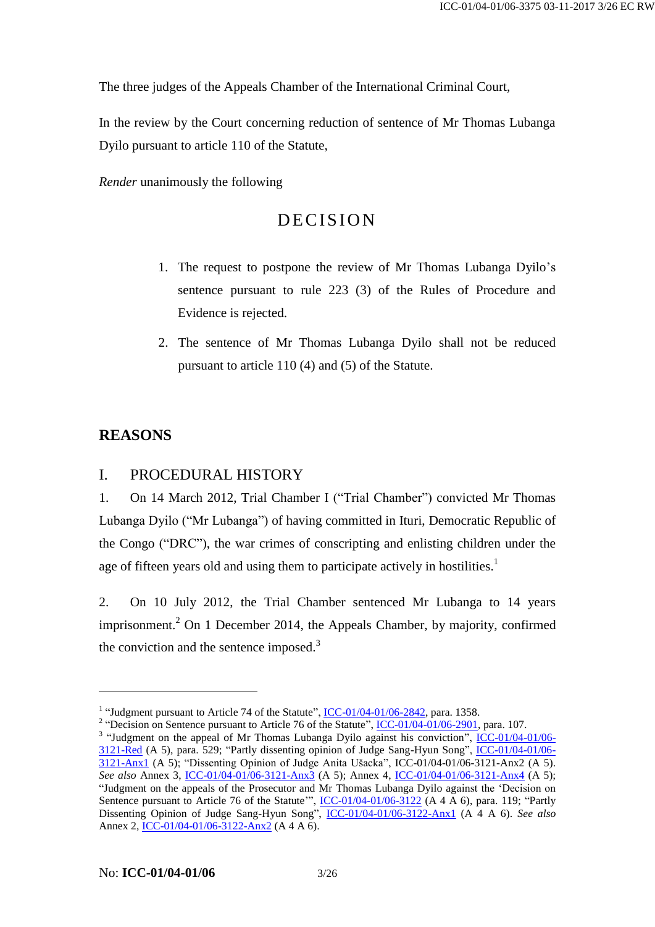The three judges of the Appeals Chamber of the International Criminal Court,

In the review by the Court concerning reduction of sentence of Mr Thomas Lubanga Dyilo pursuant to article 110 of the Statute,

*Render* unanimously the following

# DECISION

- 1. The request to postpone the review of Mr Thomas Lubanga Dyilo's sentence pursuant to rule 223 (3) of the Rules of Procedure and Evidence is rejected.
- 2. The sentence of Mr Thomas Lubanga Dyilo shall not be reduced pursuant to article 110 (4) and (5) of the Statute.

# **REASONS**

1

# I. PROCEDURAL HISTORY

1. On 14 March 2012, Trial Chamber I ("Trial Chamber") convicted Mr Thomas Lubanga Dyilo ("Mr Lubanga") of having committed in Ituri, Democratic Republic of the Congo ("DRC"), the war crimes of conscripting and enlisting children under the age of fifteen years old and using them to participate actively in hostilities.<sup>1</sup>

2. On 10 July 2012, the Trial Chamber sentenced Mr Lubanga to 14 years imprisonment.<sup>2</sup> On 1 December 2014, the Appeals Chamber, by majority, confirmed the conviction and the sentence imposed.<sup>3</sup>

<sup>&</sup>lt;sup>1</sup> "Judgment pursuant to Article 74 of the Statute",  $ICC-01/04-01/06-2842$ , para. 1358.</u>

<sup>&</sup>lt;sup>2</sup> "Decision on Sentence pursuant to Article 76 of the Statute",  $ICC-01/04-01/06-2901$ , para. 107.</u>

<sup>&</sup>lt;sup>3</sup> "Judgment on the appeal of Mr Thomas Lubanga Dyilo against his conviction", [ICC-01/04-01/06-](http://www.legal-tools.org/doc/585c75/) [3121-Red](http://www.legal-tools.org/doc/585c75/) (A 5), para. 529; "Partly dissenting opinion of Judge Sang-Hyun Song", [ICC-01/04-01/06-](http://www.legal-tools.org/doc/1f8488/) [3121-Anx1](http://www.legal-tools.org/doc/1f8488/) (A 5); "Dissenting Opinion of Judge Anita Ušacka", ICC-01/04-01/06-3121-Anx2 (A 5). *See also* Annex 3, [ICC-01/04-01/06-3121-Anx3](http://www.legal-tools.org/doc/c3fe85/) (A 5); Annex 4, [ICC-01/04-01/06-3121-Anx4](http://www.legal-tools.org/doc/b9747f/) (A 5); "Judgment on the appeals of the Prosecutor and Mr Thomas Lubanga Dyilo against the 'Decision on Sentence pursuant to Article 76 of the Statute'", [ICC-01/04-01/06-3122](http://www.legal-tools.org/doc/a9bd07/) (A 4 A 6), para. 119; "Partly Dissenting Opinion of Judge Sang-Hyun Song", [ICC-01/04-01/06-3122-Anx1](http://www.legal-tools.org/doc/59352c/) (A 4 A 6). *See also* Annex 2, [ICC-01/04-01/06-3122-Anx2](http://www.legal-tools.org/doc/bfafd2/) (A 4 A 6).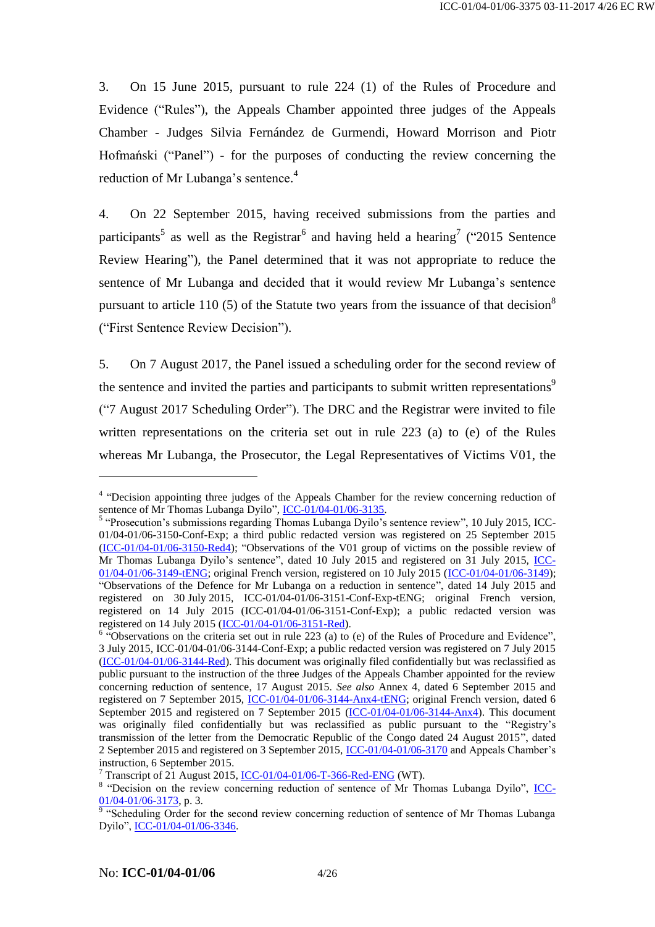3. On 15 June 2015, pursuant to rule 224 (1) of the Rules of Procedure and Evidence ("Rules"), the Appeals Chamber appointed three judges of the Appeals Chamber - Judges Silvia Fernández de Gurmendi, Howard Morrison and Piotr Hofmański ("Panel") - for the purposes of conducting the review concerning the reduction of Mr Lubanga's sentence.<sup>4</sup>

4. On 22 September 2015, having received submissions from the parties and participants<sup>5</sup> as well as the Registrar<sup>6</sup> and having held a hearing<sup>7</sup> ("2015 Sentence Review Hearing"), the Panel determined that it was not appropriate to reduce the sentence of Mr Lubanga and decided that it would review Mr Lubanga's sentence pursuant to article 110 (5) of the Statute two years from the issuance of that decision<sup>8</sup> ("First Sentence Review Decision").

5. On 7 August 2017, the Panel issued a scheduling order for the second review of the sentence and invited the parties and participants to submit written representations<sup>9</sup> ("7 August 2017 Scheduling Order"). The DRC and the Registrar were invited to file written representations on the criteria set out in rule 223 (a) to (e) of the Rules whereas Mr Lubanga, the Prosecutor, the Legal Representatives of Victims V01, the

<sup>&</sup>lt;sup>4</sup> "Decision appointing three judges of the Appeals Chamber for the review concerning reduction of sentence of Mr Thomas Lubanga Dyilo", [ICC-01/04-01/06-3135.](http://www.legal-tools.org/doc/4d085e/)

<sup>&</sup>lt;sup>5</sup> "Prosecution's submissions regarding Thomas Lubanga Dyilo's sentence review", 10 July 2015, ICC-01/04-01/06-3150-Conf-Exp; a third public redacted version was registered on 25 September 2015 [\(ICC-01/04-01/06-3150-Red4\)](http://www.legal-tools.org/doc/adb74d/); "Observations of the V01 group of victims on the possible review of Mr Thomas Lubanga Dyilo's sentence", dated 10 July 2015 and registered on 31 July 2015, [ICC-](http://www.legal-tools.org/doc/ff5106/)[01/04-01/06-3149-tENG;](http://www.legal-tools.org/doc/ff5106/) original French version, registered on 10 July 2015 [\(ICC-01/04-01/06-3149\)](http://www.legal-tools.org/doc/bf4be3/); "Observations of the Defence for Mr Lubanga on a reduction in sentence", dated 14 July 2015 and registered on 30 July 2015, ICC-01/04-01/06-3151-Conf-Exp-tENG; original French version, registered on 14 July 2015 (ICC-01/04-01/06-3151-Conf-Exp); a public redacted version was registered on 14 July 2015 [\(ICC-01/04-01/06-3151-Red\)](http://www.legal-tools.org/doc/44bfd2/).

 $6$  "Observations on the criteria set out in rule 223 (a) to (e) of the Rules of Procedure and Evidence", 3 July 2015, ICC-01/04-01/06-3144-Conf-Exp; a public redacted version was registered on 7 July 2015 [\(ICC-01/04-01/06-3144-Red\)](http://www.legal-tools.org/doc/833c21/). This document was originally filed confidentially but was reclassified as public pursuant to the instruction of the three Judges of the Appeals Chamber appointed for the review concerning reduction of sentence, 17 August 2015. *See also* Annex 4, dated 6 September 2015 and registered on 7 September 2015, [ICC-01/04-01/06-3144-Anx4-tENG;](http://www.legal-tools.org/doc/f31958/) original French version, dated 6 September 2015 and registered on 7 September 2015 [\(ICC-01/04-01/06-3144-Anx4\)](http://www.legal-tools.org/doc/99f5b4/). This document was originally filed confidentially but was reclassified as public pursuant to the "Registry's transmission of the letter from the Democratic Republic of the Congo dated 24 August 2015", dated 2 September 2015 and registered on 3 September 2015, [ICC-01/04-01/06-3170](http://www.legal-tools.org/doc/279dfc/) and Appeals Chamber's instruction, 6 September 2015.

 $7$  Transcript of 21 August 2015, [ICC-01/04-01/06-T-366-Red-ENG](http://www.legal-tools.org/doc/6fb6bc/) (WT).

<sup>&</sup>lt;sup>8</sup> "Decision on the review concerning reduction of sentence of Mr Thomas Lubanga Dyilo", *ICC*- $\frac{01}{04}$ -01/06-3173, p. 3.<br><sup>9</sup> "Scheduling Order for the second review concerning reduction of sentence of Mr Thomas Lubanga

Dyilo", [ICC-01/04-01/06-3346.](http://www.legal-tools.org/doc/f345ee/)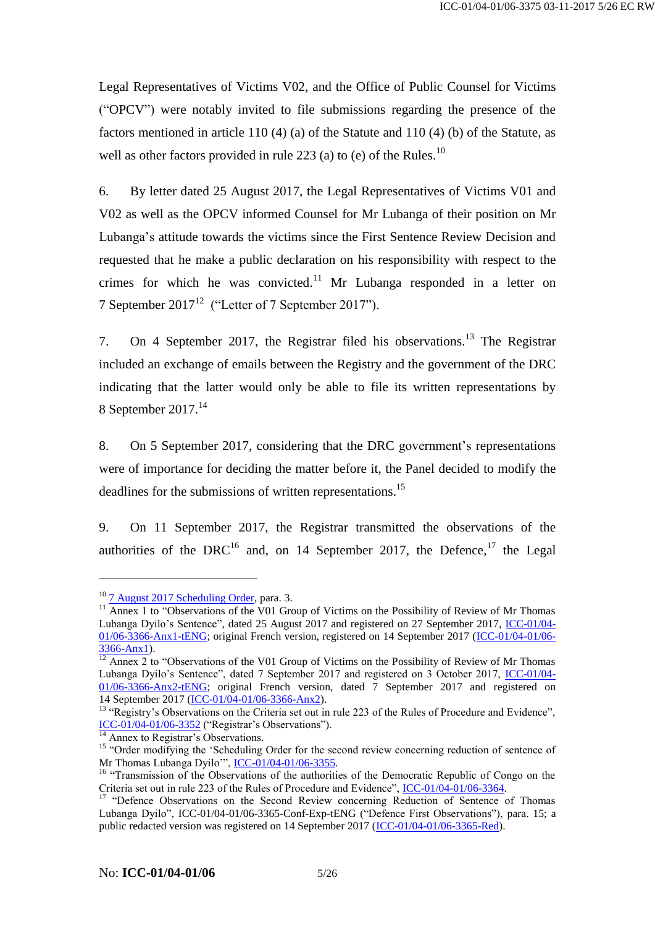Legal Representatives of Victims V02, and the Office of Public Counsel for Victims ("OPCV") were notably invited to file submissions regarding the presence of the factors mentioned in article 110 (4) (a) of the Statute and 110 (4) (b) of the Statute, as well as other factors provided in rule 223 (a) to (e) of the Rules.<sup>10</sup>

6. By letter dated 25 August 2017, the Legal Representatives of Victims V01 and V02 as well as the OPCV informed Counsel for Mr Lubanga of their position on Mr Lubanga's attitude towards the victims since the First Sentence Review Decision and requested that he make a public declaration on his responsibility with respect to the crimes for which he was convicted.<sup>11</sup> Mr Lubanga responded in a letter on 7 September 2017<sup>12</sup> ("Letter of 7 September 2017").

7. On 4 September 2017, the Registrar filed his observations.<sup>13</sup> The Registrar included an exchange of emails between the Registry and the government of the DRC indicating that the latter would only be able to file its written representations by 8 September 2017. 14

8. On 5 September 2017, considering that the DRC government's representations were of importance for deciding the matter before it, the Panel decided to modify the deadlines for the submissions of written representations.<sup>15</sup>

9. On 11 September 2017, the Registrar transmitted the observations of the authorities of the DRC<sup>16</sup> and, on 14 September 2017, the Defence,<sup>17</sup> the Legal

<sup>10</sup> [7 August 2017 Scheduling Order,](http://www.legal-tools.org/doc/f345ee/) para. 3.

<sup>&</sup>lt;sup>11</sup> Annex 1 to "Observations of the V01 Group of Victims on the Possibility of Review of Mr Thomas Lubanga Dyilo's Sentence", dated 25 August 2017 and registered on 27 September 2017, [ICC-01/04-](http://www.legal-tools.org/doc/98b4cb/) [01/06-3366-Anx1-tENG;](http://www.legal-tools.org/doc/98b4cb/) original French version, registered on 14 September 2017 [\(ICC-01/04-01/06-](http://www.legal-tools.org/doc/b2a8aa/) [3366-Anx1\)](http://www.legal-tools.org/doc/b2a8aa/).

 $12$  Annex 2 to "Observations of the V01 Group of Victims on the Possibility of Review of Mr Thomas Lubanga Dyilo's Sentence", dated 7 September 2017 and registered on 3 October 2017, [ICC-01/04-](http://www.legal-tools.org/doc/f947b3/)  $01/06-3366-{\rm Anx2-tENG}$ ; original French version, dated  $\overline{7}$  September 2017 and registered on 14 September 2017 [\(ICC-01/04-01/06-3366-Anx2\)](http://www.legal-tools.org/doc/f15bff/).

<sup>&</sup>lt;sup>13</sup> "Registry's Observations on the Criteria set out in rule 223 of the Rules of Procedure and Evidence", [ICC-01/04-01/06-3352](http://www.legal-tools.org/doc/23cacd/) ("Registrar's Observations").

Annex to Registrar's Observations.

<sup>&</sup>lt;sup>15</sup> "Order modifying the 'Scheduling Order for the second review concerning reduction of sentence of Mr Thomas Lubanga Dyilo"", [ICC-01/04-01/06-3355.](http://www.legal-tools.org/doc/4a7f6a/)

<sup>&</sup>lt;sup>16</sup> "Transmission of the Observations of the authorities of the Democratic Republic of Congo on the Criteria set out in rule 223 of the Rules of Procedure and Evidence", [ICC-01/04-01/06-3364.](http://www.legal-tools.org/doc/85b776/)

<sup>&</sup>lt;sup>17</sup> "Defence Observations on the Second Review concerning Reduction of Sentence of Thomas Lubanga Dyilo", ICC-01/04-01/06-3365-Conf-Exp-tENG ("Defence First Observations"), para. 15; a public redacted version was registered on 14 September 2017 [\(ICC-01/04-01/06-3365-Red\)](http://www.legal-tools.org/doc/aaf1cc/).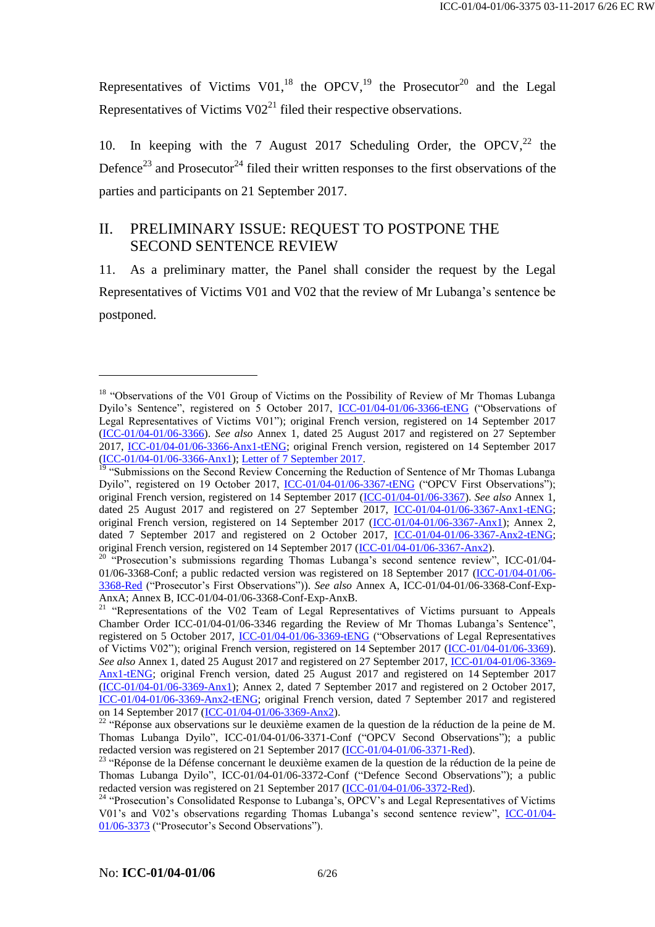Representatives of Victims V01,<sup>18</sup> the OPCV,<sup>19</sup> the Prosecutor<sup>20</sup> and the Legal Representatives of Victims  $V02<sup>21</sup>$  filed their respective observations.

10. In keeping with the 7 August 2017 Scheduling Order, the OPCV,<sup>22</sup> the Defence<sup>23</sup> and Prosecutor<sup>24</sup> filed their written responses to the first observations of the parties and participants on 21 September 2017.

# II. PRELIMINARY ISSUE: REQUEST TO POSTPONE THE SECOND SENTENCE REVIEW

11. As a preliminary matter, the Panel shall consider the request by the Legal Representatives of Victims V01 and V02 that the review of Mr Lubanga's sentence be postponed.

<sup>&</sup>lt;sup>18</sup> "Observations of the V01 Group of Victims on the Possibility of Review of Mr Thomas Lubanga Dyilo's Sentence", registered on 5 October 2017, [ICC-01/04-01/06-3366-tENG](http://www.legal-tools.org/doc/963671/) ("Observations of Legal Representatives of Victims V01"); original French version, registered on 14 September 2017 [\(ICC-01/04-01/06-3366\)](http://www.legal-tools.org/doc/cabbbc/). *See also* Annex 1, dated 25 August 2017 and registered on 27 September 2017, [ICC-01/04-01/06-3366-Anx1-tENG;](http://www.legal-tools.org/doc/98b4cb/) original French version, registered on 14 September 2017 [\(ICC-01/04-01/06-3366-Anx1\)](http://www.legal-tools.org/doc/b2a8aa/)[; Letter of 7 September 2017.](http://www.legal-tools.org/doc/f947b3/)

<sup>&</sup>lt;sup>19</sup> "Submissions on the Second Review Concerning the Reduction of Sentence of Mr Thomas Lubanga Dyilo", registered on 19 October 2017, [ICC-01/04-01/06-3367-tENG](http://www.legal-tools.org/doc/f97418/) ("OPCV First Observations"); original French version, registered on 14 September 2017 [\(ICC-01/04-01/06-3367\)](http://www.legal-tools.org/doc/62b01c/). *See also* Annex 1, dated 25 August 2017 and registered on 27 September 2017, [ICC-01/04-01/06-3367-Anx1-tENG;](http://www.legal-tools.org/doc/e7c84f/) original French version, registered on 14 September 2017 [\(ICC-01/04-01/06-3367-Anx1\)](http://www.legal-tools.org/doc/20ae06/); Annex 2, dated 7 September 2017 and registered on 2 October 2017, [ICC-01/04-01/06-3367-Anx2-tENG;](http://www.legal-tools.org/doc/146a2f/) original French version, registered on 14 September 2017 [\(ICC-01/04-01/06-3367-Anx2\)](http://www.legal-tools.org/doc/cb913a/).

<sup>&</sup>lt;sup>20</sup> "Prosecution's submissions regarding Thomas Lubanga's second sentence review", ICC-01/04-01/06-3368-Conf; a public redacted version was registered on 18 September 2017 [\(ICC-01/04-01/06-](http://www.legal-tools.org/doc/eef498/) [3368-Red](http://www.legal-tools.org/doc/eef498/) ("Prosecutor's First Observations")). *See also* Annex A, ICC-01/04-01/06-3368-Conf-Exp-AnxA; Annex B, ICC-01/04-01/06-3368-Conf-Exp-AnxB.

<sup>&</sup>lt;sup>21</sup> "Representations of the V02 Team of Legal Representatives of Victims pursuant to Appeals Chamber Order ICC-01/04-01/06-3346 regarding the Review of Mr Thomas Lubanga's Sentence", registered on 5 October 2017, [ICC-01/04-01/06-3369-tENG](http://www.legal-tools.org/doc/a23069/) ("Observations of Legal Representatives of Victims V02"); original French version, registered on 14 September 2017 [\(ICC-01/04-01/06-3369\)](http://www.legal-tools.org/doc/2aab91/). *See also* Annex 1, dated 25 August 2017 and registered on 27 September 2017, [ICC-01/04-01/06-3369-](http://www.legal-tools.org/doc/f3767c/) [Anx1-tENG;](http://www.legal-tools.org/doc/f3767c/) original French version, dated 25 August 2017 and registered on 14 September 2017 [\(ICC-01/04-01/06-3369-Anx1\)](http://www.legal-tools.org/doc/53ed56/); Annex 2, dated 7 September 2017 and registered on 2 October 2017, [ICC-01/04-01/06-3369-Anx2-tENG;](http://www.legal-tools.org/doc/21ec05/) original French version, dated 7 September 2017 and registered on 14 September 2017 [\(ICC-01/04-01/06-3369-Anx2\)](http://www.legal-tools.org/doc/8d139d/).

 $22$  "Réponse aux observations sur le deuxième examen de la question de la réduction de la peine de M. Thomas Lubanga Dyilo", ICC-01/04-01/06-3371-Conf ("OPCV Second Observations"); a public redacted version was registered on 21 September 2017 [\(ICC-01/04-01/06-3371-Red\)](http://www.legal-tools.org/doc/d546ff/).

<sup>&</sup>lt;sup>23</sup> "Réponse de la Défense concernant le deuxième examen de la question de la réduction de la peine de Thomas Lubanga Dyilo", ICC-01/04-01/06-3372-Conf ("Defence Second Observations"); a public redacted version was registered on 21 September 2017 [\(ICC-01/04-01/06-3372-Red\)](http://www.legal-tools.org/doc/a26000/).

<sup>&</sup>lt;sup>24</sup> "Prosecution's Consolidated Response to Lubanga's, OPCV's and Legal Representatives of Victims V01's and V02's observations regarding Thomas Lubanga's second sentence review", [ICC-01/04-](http://www.legal-tools.org/doc/f95d00/) [01/06-3373](http://www.legal-tools.org/doc/f95d00/) ("Prosecutor's Second Observations").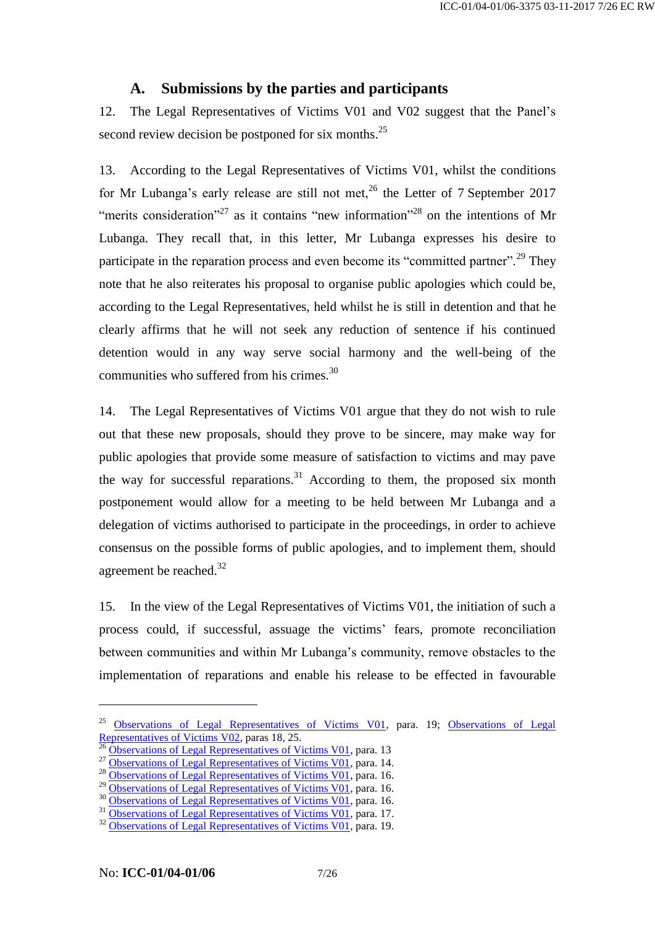# **A. Submissions by the parties and participants**

12. The Legal Representatives of Victims V01 and V02 suggest that the Panel's second review decision be postponed for six months.<sup>25</sup>

13. According to the Legal Representatives of Victims V01, whilst the conditions for Mr Lubanga's early release are still not met,  $^{26}$  the Letter of 7 September 2017 "merits consideration"<sup>27</sup> as it contains "new information"<sup>28</sup> on the intentions of Mr Lubanga. They recall that, in this letter, Mr Lubanga expresses his desire to participate in the reparation process and even become its "committed partner".<sup>29</sup> They note that he also reiterates his proposal to organise public apologies which could be, according to the Legal Representatives, held whilst he is still in detention and that he clearly affirms that he will not seek any reduction of sentence if his continued detention would in any way serve social harmony and the well-being of the communities who suffered from his crimes.<sup>30</sup>

14. The Legal Representatives of Victims V01 argue that they do not wish to rule out that these new proposals, should they prove to be sincere, may make way for public apologies that provide some measure of satisfaction to victims and may pave the way for successful reparations.<sup>31</sup> According to them, the proposed six month postponement would allow for a meeting to be held between Mr Lubanga and a delegation of victims authorised to participate in the proceedings, in order to achieve consensus on the possible forms of public apologies, and to implement them, should agreement be reached.<sup>32</sup>

15. In the view of the Legal Representatives of Victims V01, the initiation of such a process could, if successful, assuage the victims' fears, promote reconciliation between communities and within Mr Lubanga's community, remove obstacles to the implementation of reparations and enable his release to be effected in favourable

<sup>&</sup>lt;sup>25</sup> [Observations of Legal Representatives of Victims V01,](http://www.legal-tools.org/doc/963671/) para. 19; Observations of Legal [Representatives of Victims V02,](http://www.legal-tools.org/doc/a23069/) paras 18, 25.

<sup>26</sup> [Observations of Legal Representatives of Victims V01,](http://www.legal-tools.org/doc/963671/) para. 13

<sup>&</sup>lt;sup>27</sup> [Observations of Legal Representatives of Victims V01,](http://www.legal-tools.org/doc/963671/) para. 14.

<sup>&</sup>lt;sup>28</sup> [Observations of Legal Representatives of Victims V01,](http://www.legal-tools.org/doc/963671/) para. 16.

 $^{29}$  [Observations of Legal Representatives of Victims V01,](http://www.legal-tools.org/doc/963671/) para. 16.

<sup>&</sup>lt;sup>30</sup> [Observations of Legal Representatives of Victims V01,](http://www.legal-tools.org/doc/963671/) para. 16. <sup>31</sup> [Observations of Legal Representatives of Victims V01,](http://www.legal-tools.org/doc/963671/) para. 17.

<sup>&</sup>lt;sup>32</sup> [Observations of Legal Representatives of Victims V01,](http://www.legal-tools.org/doc/963671/) para. 19.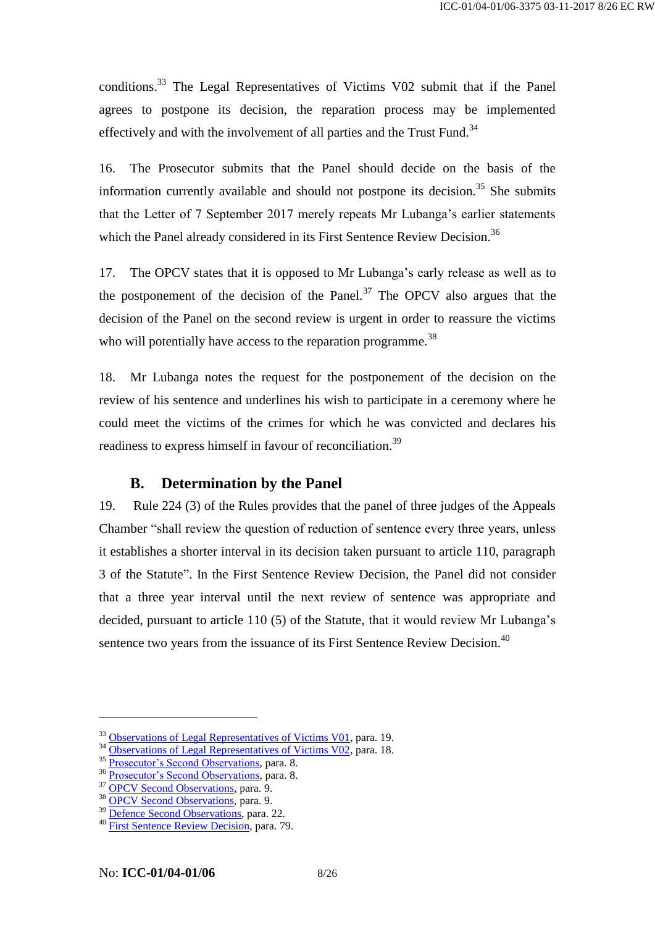conditions.<sup>33</sup> The Legal Representatives of Victims V02 submit that if the Panel agrees to postpone its decision, the reparation process may be implemented effectively and with the involvement of all parties and the Trust Fund.<sup>34</sup>

16. The Prosecutor submits that the Panel should decide on the basis of the information currently available and should not postpone its decision.<sup>35</sup> She submits that the Letter of 7 September 2017 merely repeats Mr Lubanga's earlier statements which the Panel already considered in its First Sentence Review Decision.<sup>36</sup>

17. The OPCV states that it is opposed to Mr Lubanga's early release as well as to the postponement of the decision of the Panel.<sup>37</sup> The OPCV also argues that the decision of the Panel on the second review is urgent in order to reassure the victims who will potentially have access to the reparation programme.<sup>38</sup>

18. Mr Lubanga notes the request for the postponement of the decision on the review of his sentence and underlines his wish to participate in a ceremony where he could meet the victims of the crimes for which he was convicted and declares his readiness to express himself in favour of reconciliation.<sup>39</sup>

# **B. Determination by the Panel**

19. Rule 224 (3) of the Rules provides that the panel of three judges of the Appeals Chamber "shall review the question of reduction of sentence every three years, unless it establishes a shorter interval in its decision taken pursuant to article 110, paragraph 3 of the Statute". In the First Sentence Review Decision, the Panel did not consider that a three year interval until the next review of sentence was appropriate and decided, pursuant to article 110 (5) of the Statute, that it would review Mr Lubanga's sentence two years from the issuance of its First Sentence Review Decision.<sup>40</sup>

<sup>&</sup>lt;sup>33</sup> [Observations of Legal Representatives of Victims V01,](http://www.legal-tools.org/doc/963671/) para. 19.

<sup>&</sup>lt;sup>34</sup> [Observations of Legal Representatives of Victims V02,](http://www.legal-tools.org/doc/a23069/) para. 18.

<sup>&</sup>lt;sup>35</sup> [Prosecutor's Second Observations,](http://www.legal-tools.org/doc/f95d00/) para. 8.

<sup>&</sup>lt;sup>36</sup> Prosecutor'<u>s Second Observations</u>, para. 8.

<sup>&</sup>lt;sup>37</sup> [OPCV Second Observations,](http://www.legal-tools.org/doc/d546ff/) para. 9.

<sup>38</sup> [OPCV Second Observations,](http://www.legal-tools.org/doc/d546ff/) para. 9.

<sup>&</sup>lt;sup>39</sup> [Defence Second Observations,](http://www.legal-tools.org/doc/a26000/) para. 22.

<sup>40</sup> [First Sentence Review Decision,](http://www.legal-tools.org/doc/88b3f6/) para. 79.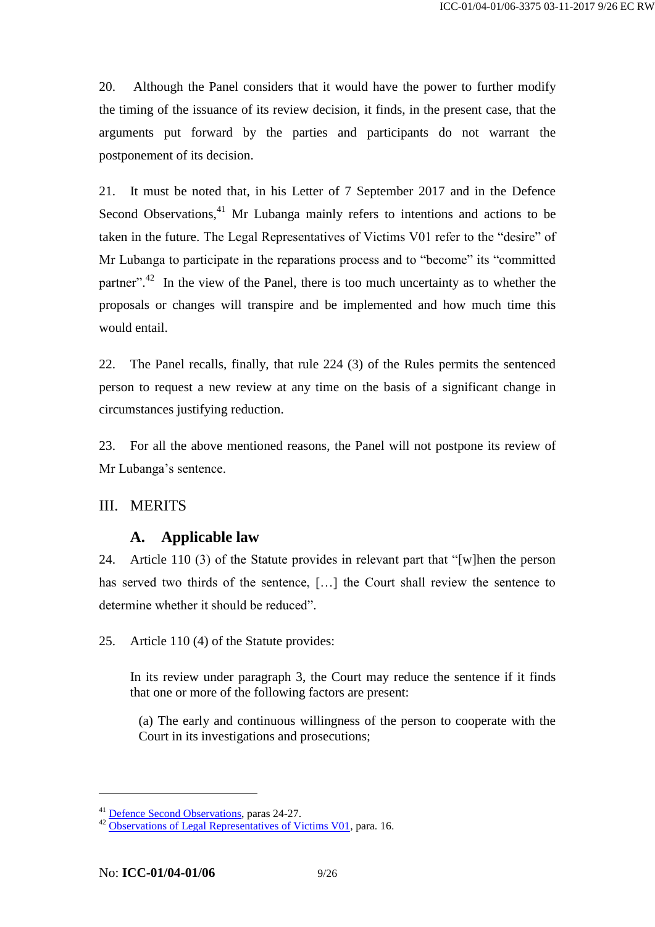20. Although the Panel considers that it would have the power to further modify the timing of the issuance of its review decision, it finds, in the present case, that the arguments put forward by the parties and participants do not warrant the postponement of its decision.

21. It must be noted that, in his Letter of 7 September 2017 and in the Defence Second Observations, $41$  Mr Lubanga mainly refers to intentions and actions to be taken in the future. The Legal Representatives of Victims V01 refer to the "desire" of Mr Lubanga to participate in the reparations process and to "become" its "committed partner".<sup>42</sup> In the view of the Panel, there is too much uncertainty as to whether the proposals or changes will transpire and be implemented and how much time this would entail.

22. The Panel recalls, finally, that rule 224 (3) of the Rules permits the sentenced person to request a new review at any time on the basis of a significant change in circumstances justifying reduction.

23. For all the above mentioned reasons, the Panel will not postpone its review of Mr Lubanga's sentence.

# III. MERITS

# **A. Applicable law**

24. Article 110 (3) of the Statute provides in relevant part that "[w]hen the person has served two thirds of the sentence, […] the Court shall review the sentence to determine whether it should be reduced".

25. Article 110 (4) of the Statute provides:

In its review under paragraph 3, the Court may reduce the sentence if it finds that one or more of the following factors are present:

(a) The early and continuous willingness of the person to cooperate with the Court in its investigations and prosecutions;

<sup>&</sup>lt;sup>41</sup> Defence [Second Observations,](http://www.legal-tools.org/doc/a26000/) paras 24-27.

<sup>&</sup>lt;sup>42</sup> [Observations of Legal Representatives of Victims V01,](http://www.legal-tools.org/doc/963671/) para. 16.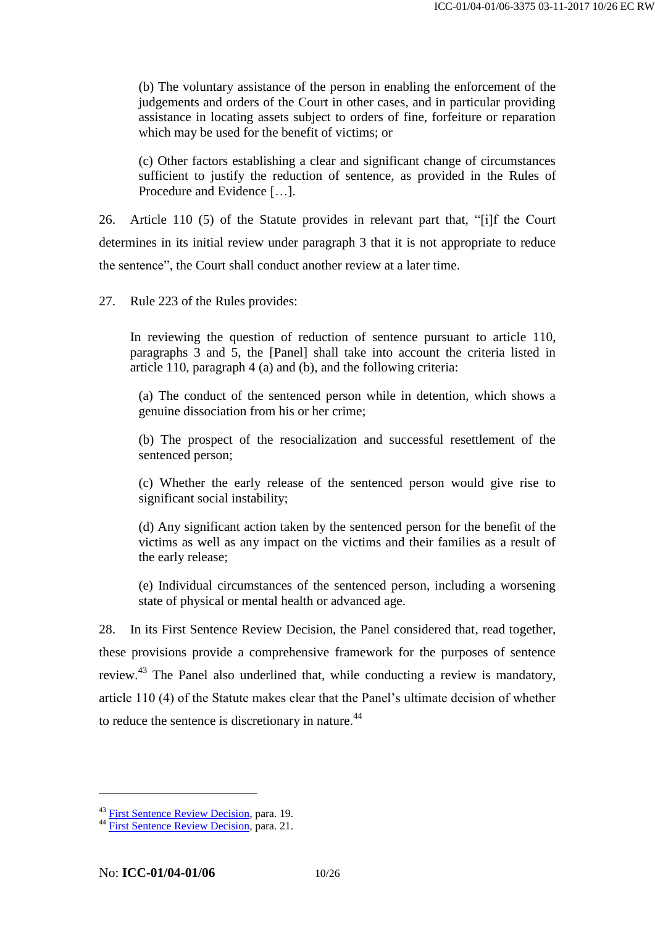(b) The voluntary assistance of the person in enabling the enforcement of the judgements and orders of the Court in other cases, and in particular providing assistance in locating assets subject to orders of fine, forfeiture or reparation which may be used for the benefit of victims; or

(c) Other factors establishing a clear and significant change of circumstances sufficient to justify the reduction of sentence, as provided in the Rules of Procedure and Evidence […].

26. Article 110 (5) of the Statute provides in relevant part that, "[i]f the Court determines in its initial review under paragraph 3 that it is not appropriate to reduce the sentence", the Court shall conduct another review at a later time.

27. Rule 223 of the Rules provides:

In reviewing the question of reduction of sentence pursuant to article 110, paragraphs 3 and 5, the [Panel] shall take into account the criteria listed in article 110, paragraph 4 (a) and (b), and the following criteria:

(a) The conduct of the sentenced person while in detention, which shows a genuine dissociation from his or her crime;

(b) The prospect of the resocialization and successful resettlement of the sentenced person;

(c) Whether the early release of the sentenced person would give rise to significant social instability;

(d) Any significant action taken by the sentenced person for the benefit of the victims as well as any impact on the victims and their families as a result of the early release;

(e) Individual circumstances of the sentenced person, including a worsening state of physical or mental health or advanced age.

28. In its First Sentence Review Decision, the Panel considered that, read together, these provisions provide a comprehensive framework for the purposes of sentence review.<sup>43</sup> The Panel also underlined that, while conducting a review is mandatory, article 110 (4) of the Statute makes clear that the Panel's ultimate decision of whether to reduce the sentence is discretionary in nature.<sup>44</sup>

<sup>&</sup>lt;sup>43</sup> [First Sentence Review Decision,](http://www.legal-tools.org/doc/88b3f6/) para. 19.

<sup>&</sup>lt;sup>44</sup> [First Sentence Review Decision,](http://www.legal-tools.org/doc/88b3f6/) para. 21.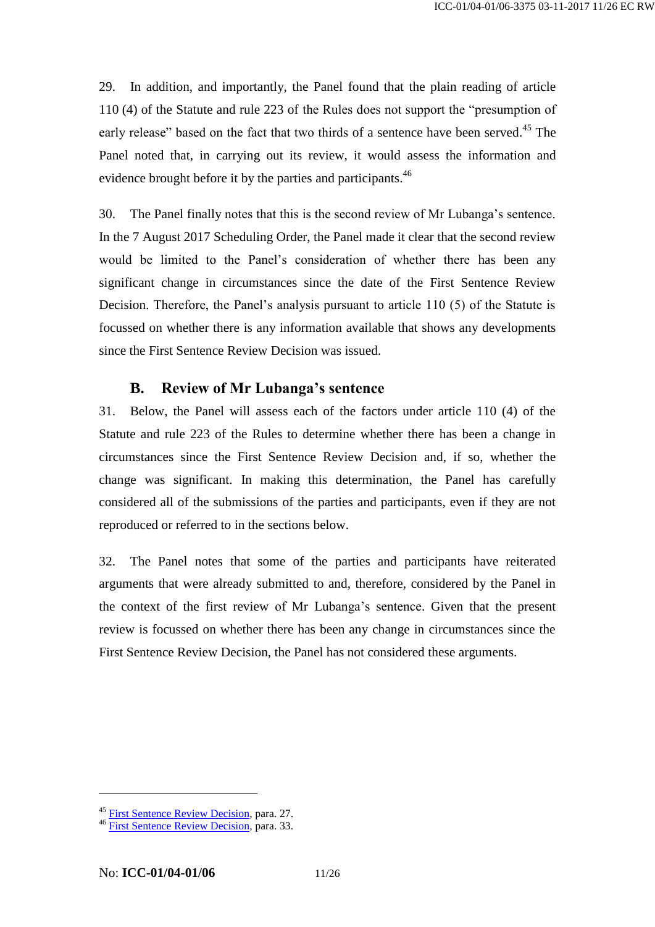29. In addition, and importantly, the Panel found that the plain reading of article 110 (4) of the Statute and rule 223 of the Rules does not support the "presumption of early release" based on the fact that two thirds of a sentence have been served.<sup>45</sup> The Panel noted that, in carrying out its review, it would assess the information and evidence brought before it by the parties and participants.<sup>46</sup>

30. The Panel finally notes that this is the second review of Mr Lubanga's sentence. In the 7 August 2017 Scheduling Order, the Panel made it clear that the second review would be limited to the Panel's consideration of whether there has been any significant change in circumstances since the date of the First Sentence Review Decision. Therefore, the Panel's analysis pursuant to article 110 (5) of the Statute is focussed on whether there is any information available that shows any developments since the First Sentence Review Decision was issued.

# **B. Review of Mr Lubanga's sentence**

31. Below, the Panel will assess each of the factors under article 110 (4) of the Statute and rule 223 of the Rules to determine whether there has been a change in circumstances since the First Sentence Review Decision and, if so, whether the change was significant. In making this determination, the Panel has carefully considered all of the submissions of the parties and participants, even if they are not reproduced or referred to in the sections below.

32. The Panel notes that some of the parties and participants have reiterated arguments that were already submitted to and, therefore, considered by the Panel in the context of the first review of Mr Lubanga's sentence. Given that the present review is focussed on whether there has been any change in circumstances since the First Sentence Review Decision, the Panel has not considered these arguments.

<sup>&</sup>lt;sup>45</sup> [First Sentence Review Decision,](http://www.legal-tools.org/doc/88b3f6/) para. 27.

<sup>&</sup>lt;sup>46</sup> [First Sentence Review Decision,](http://www.legal-tools.org/doc/88b3f6/) para. 33.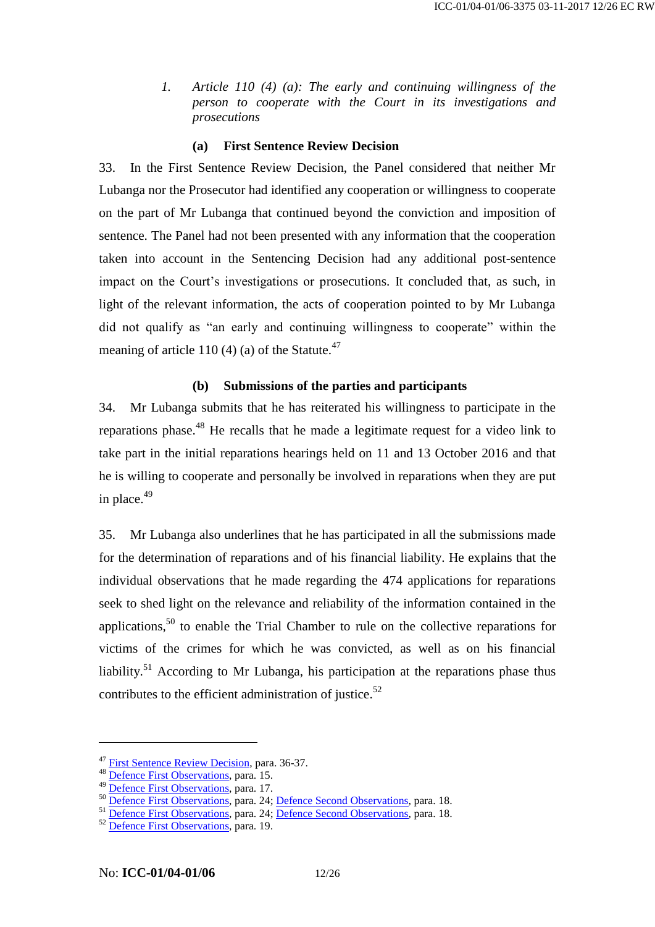*1. Article 110 (4) (a): The early and continuing willingness of the person to cooperate with the Court in its investigations and prosecutions*

#### **(a) First Sentence Review Decision**

33. In the First Sentence Review Decision, the Panel considered that neither Mr Lubanga nor the Prosecutor had identified any cooperation or willingness to cooperate on the part of Mr Lubanga that continued beyond the conviction and imposition of sentence. The Panel had not been presented with any information that the cooperation taken into account in the Sentencing Decision had any additional post-sentence impact on the Court's investigations or prosecutions. It concluded that, as such, in light of the relevant information, the acts of cooperation pointed to by Mr Lubanga did not qualify as "an early and continuing willingness to cooperate" within the meaning of article 110 (4) (a) of the Statute. $47$ 

#### **(b) Submissions of the parties and participants**

34. Mr Lubanga submits that he has reiterated his willingness to participate in the reparations phase.<sup>48</sup> He recalls that he made a legitimate request for a video link to take part in the initial reparations hearings held on 11 and 13 October 2016 and that he is willing to cooperate and personally be involved in reparations when they are put in place. 49

35. Mr Lubanga also underlines that he has participated in all the submissions made for the determination of reparations and of his financial liability. He explains that the individual observations that he made regarding the 474 applications for reparations seek to shed light on the relevance and reliability of the information contained in the applications,  $50$  to enable the Trial Chamber to rule on the collective reparations for victims of the crimes for which he was convicted, as well as on his financial liability.<sup>51</sup> According to Mr Lubanga, his participation at the reparations phase thus contributes to the efficient administration of justice.<sup>52</sup>

<sup>&</sup>lt;sup>47</sup> [First Sentence Review Decision,](http://www.legal-tools.org/doc/88b3f6/) para. 36-37.

<sup>&</sup>lt;sup>48</sup> [Defence First Observations,](http://www.legal-tools.org/doc/aaf1cc/) para. 15.

<sup>&</sup>lt;sup>49</sup> [Defence First Observations,](http://www.legal-tools.org/doc/aaf1cc/) para. 17.

<sup>&</sup>lt;sup>50</sup> [Defence First Observations,](http://www.legal-tools.org/doc/aaf1cc/) para. 24; [Defence Second Observations,](http://www.legal-tools.org/doc/a26000/) para. 18.

<sup>&</sup>lt;sup>51</sup> [Defence First Observations,](http://www.legal-tools.org/doc/aaf1cc/) para. 24; [Defence Second Observations,](http://www.legal-tools.org/doc/a26000/) para. 18.

<sup>52</sup> [Defence First Observations,](http://www.legal-tools.org/doc/aaf1cc/) para. 19.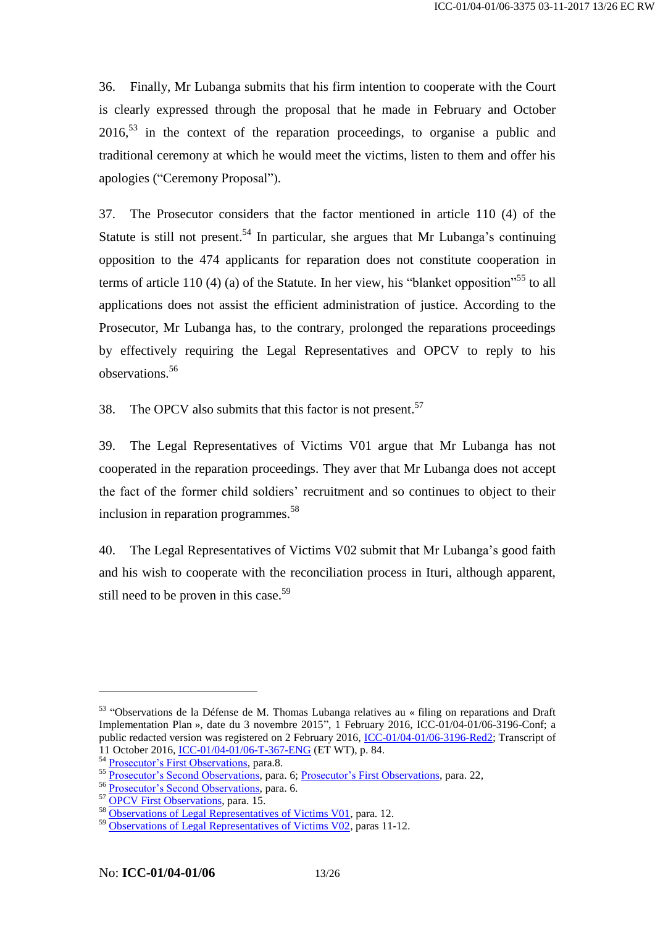36. Finally, Mr Lubanga submits that his firm intention to cooperate with the Court is clearly expressed through the proposal that he made in February and October  $2016<sup>53</sup>$  in the context of the reparation proceedings, to organise a public and traditional ceremony at which he would meet the victims, listen to them and offer his apologies ("Ceremony Proposal").

37. The Prosecutor considers that the factor mentioned in article 110 (4) of the Statute is still not present.<sup>54</sup> In particular, she argues that Mr Lubanga's continuing opposition to the 474 applicants for reparation does not constitute cooperation in terms of article 110 (4) (a) of the Statute. In her view, his "blanket opposition"<sup>55</sup> to all applications does not assist the efficient administration of justice. According to the Prosecutor, Mr Lubanga has, to the contrary, prolonged the reparations proceedings by effectively requiring the Legal Representatives and OPCV to reply to his observations. 56

38. The OPCV also submits that this factor is not present.<sup>57</sup>

39. The Legal Representatives of Victims V01 argue that Mr Lubanga has not cooperated in the reparation proceedings. They aver that Mr Lubanga does not accept the fact of the former child soldiers' recruitment and so continues to object to their inclusion in reparation programmes. 58

40. The Legal Representatives of Victims V02 submit that Mr Lubanga's good faith and his wish to cooperate with the reconciliation process in Ituri, although apparent, still need to be proven in this case.<sup>59</sup>

<sup>&</sup>lt;sup>53</sup> "Observations de la Défense de M. Thomas Lubanga relatives au « filing on reparations and Draft Implementation Plan », date du 3 novembre 2015", 1 February 2016, ICC-01/04-01/06-3196-Conf; a public redacted version was registered on 2 February 2016, [ICC-01/04-01/06-3196-Red2;](http://www.legal-tools.org/doc/55dcba/) Transcript of 11 October 2016, [ICC-01/04-01/06-T-367-ENG](http://www.legal-tools.org/doc/892f7b/) (ET WT), p. 84.

<sup>&</sup>lt;sup>54</sup> [Prosecutor's First Observations,](http://www.legal-tools.org/doc/eef498/) para.8.

<sup>&</sup>lt;sup>55</sup> [Prosecutor's Second Observations,](http://www.legal-tools.org/doc/f95d00/) para. 6[; Prosecutor's First Observations,](http://www.legal-tools.org/doc/eef498/) para. 22,

<sup>56</sup> [Prosecutor's Second Observations,](http://www.legal-tools.org/doc/f95d00/) para. 6.

<sup>&</sup>lt;sup>57</sup> [OPCV First Observations,](http://www.legal-tools.org/doc/f97418/) para. 15.

<sup>58</sup> [Observations of Legal Representatives of Victims V01,](http://www.legal-tools.org/doc/963671/) para. 12.

<sup>59</sup> [Observations of Legal Representatives of Victims V02,](http://www.legal-tools.org/doc/a23069/) paras 11-12.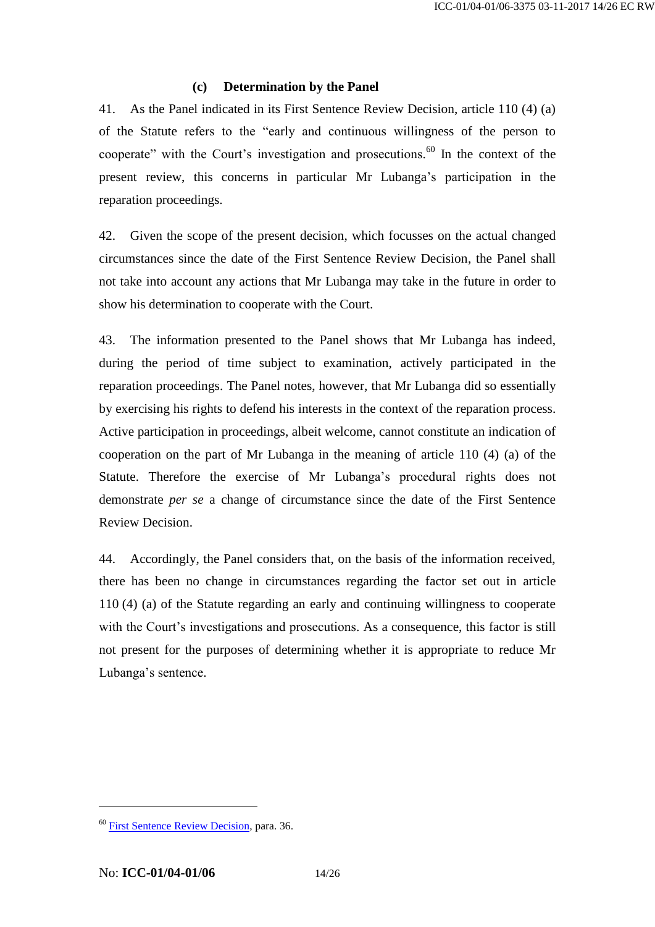#### **(c) Determination by the Panel**

41. As the Panel indicated in its First Sentence Review Decision, article 110 (4) (a) of the Statute refers to the "early and continuous willingness of the person to cooperate" with the Court's investigation and prosecutions. <sup>60</sup> In the context of the present review, this concerns in particular Mr Lubanga's participation in the reparation proceedings.

42. Given the scope of the present decision, which focusses on the actual changed circumstances since the date of the First Sentence Review Decision, the Panel shall not take into account any actions that Mr Lubanga may take in the future in order to show his determination to cooperate with the Court.

43. The information presented to the Panel shows that Mr Lubanga has indeed, during the period of time subject to examination, actively participated in the reparation proceedings. The Panel notes, however, that Mr Lubanga did so essentially by exercising his rights to defend his interests in the context of the reparation process. Active participation in proceedings, albeit welcome, cannot constitute an indication of cooperation on the part of Mr Lubanga in the meaning of article 110 (4) (a) of the Statute. Therefore the exercise of Mr Lubanga's procedural rights does not demonstrate *per se* a change of circumstance since the date of the First Sentence Review Decision.

44. Accordingly, the Panel considers that, on the basis of the information received, there has been no change in circumstances regarding the factor set out in article 110 (4) (a) of the Statute regarding an early and continuing willingness to cooperate with the Court's investigations and prosecutions. As a consequence, this factor is still not present for the purposes of determining whether it is appropriate to reduce Mr Lubanga's sentence.

<sup>60</sup> [First Sentence Review Decision,](http://www.legal-tools.org/doc/88b3f6/) para. 36.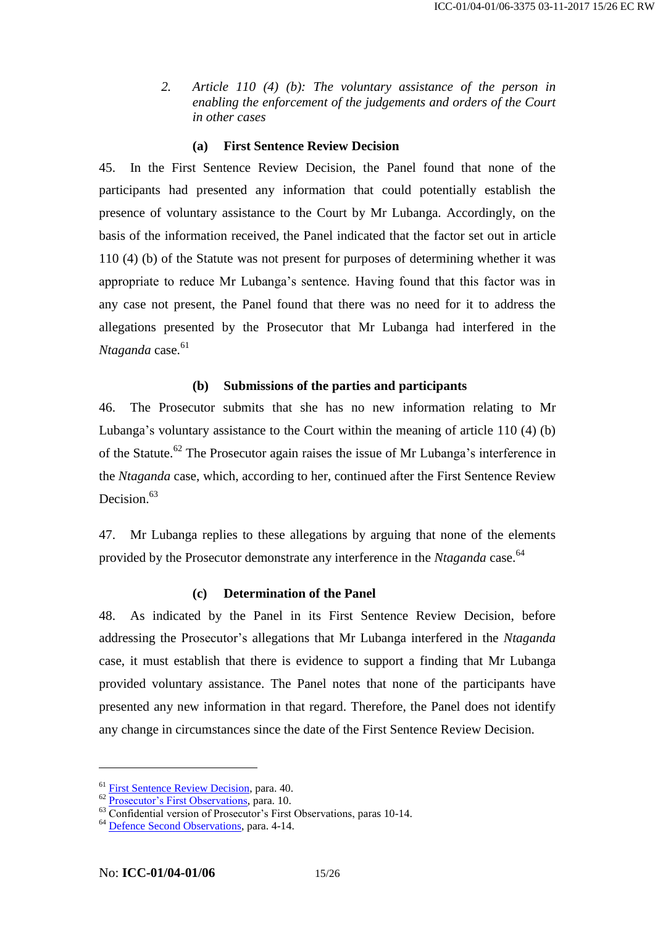*2. Article 110 (4) (b): The voluntary assistance of the person in enabling the enforcement of the judgements and orders of the Court in other cases*

#### **(a) First Sentence Review Decision**

45. In the First Sentence Review Decision, the Panel found that none of the participants had presented any information that could potentially establish the presence of voluntary assistance to the Court by Mr Lubanga. Accordingly, on the basis of the information received, the Panel indicated that the factor set out in article 110 (4) (b) of the Statute was not present for purposes of determining whether it was appropriate to reduce Mr Lubanga's sentence. Having found that this factor was in any case not present, the Panel found that there was no need for it to address the allegations presented by the Prosecutor that Mr Lubanga had interfered in the *Ntaganda* case. 61

#### **(b) Submissions of the parties and participants**

46. The Prosecutor submits that she has no new information relating to Mr Lubanga's voluntary assistance to the Court within the meaning of article 110 (4) (b) of the Statute.<sup>62</sup> The Prosecutor again raises the issue of Mr Lubanga's interference in the *Ntaganda* case, which, according to her, continued after the First Sentence Review Decision.<sup>63</sup>

47. Mr Lubanga replies to these allegations by arguing that none of the elements provided by the Prosecutor demonstrate any interference in the *Ntaganda* case.<sup>64</sup>

#### **(c) Determination of the Panel**

48. As indicated by the Panel in its First Sentence Review Decision, before addressing the Prosecutor's allegations that Mr Lubanga interfered in the *Ntaganda* case, it must establish that there is evidence to support a finding that Mr Lubanga provided voluntary assistance. The Panel notes that none of the participants have presented any new information in that regard. Therefore, the Panel does not identify any change in circumstances since the date of the First Sentence Review Decision.

<sup>61</sup> [First Sentence Review Decision,](http://www.legal-tools.org/doc/88b3f6/) para. 40.

<sup>62</sup> [Prosecutor's First Observations,](http://www.legal-tools.org/doc/eef498/) para. 10.

 $63 \overline{\text{Confidential version of Prosecutor's First Observations, paras 10-14.}}$ 

<sup>64</sup> [Defence Second Observations,](http://www.legal-tools.org/doc/a26000/) para. 4-14.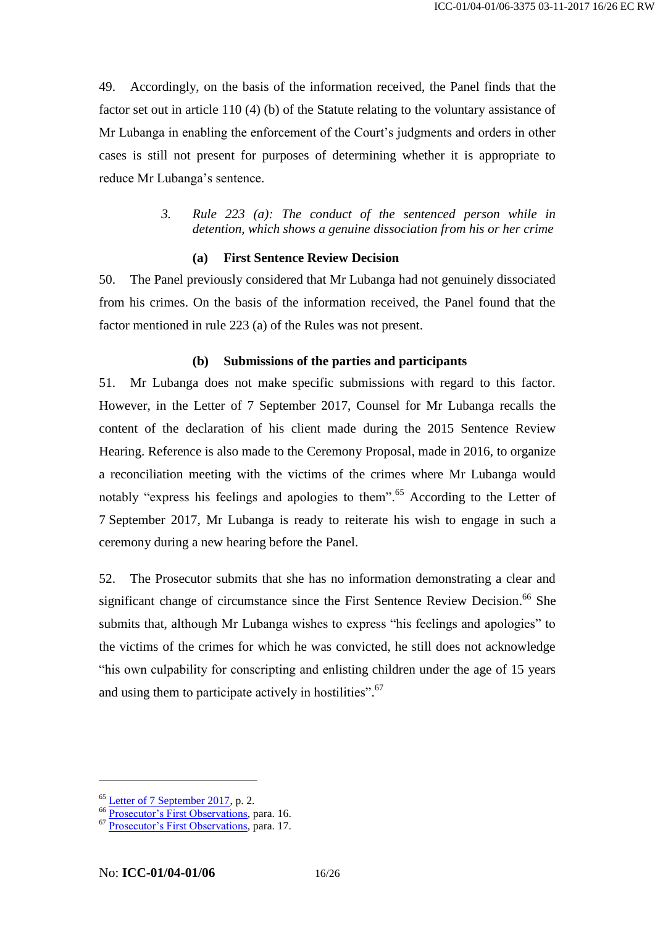49. Accordingly, on the basis of the information received, the Panel finds that the factor set out in article 110 (4) (b) of the Statute relating to the voluntary assistance of Mr Lubanga in enabling the enforcement of the Court's judgments and orders in other cases is still not present for purposes of determining whether it is appropriate to reduce Mr Lubanga's sentence.

> *3. Rule 223 (a): The conduct of the sentenced person while in detention, which shows a genuine dissociation from his or her crime*

#### **(a) First Sentence Review Decision**

50. The Panel previously considered that Mr Lubanga had not genuinely dissociated from his crimes. On the basis of the information received, the Panel found that the factor mentioned in rule 223 (a) of the Rules was not present.

#### **(b) Submissions of the parties and participants**

51. Mr Lubanga does not make specific submissions with regard to this factor. However, in the Letter of 7 September 2017, Counsel for Mr Lubanga recalls the content of the declaration of his client made during the 2015 Sentence Review Hearing. Reference is also made to the Ceremony Proposal, made in 2016, to organize a reconciliation meeting with the victims of the crimes where Mr Lubanga would notably "express his feelings and apologies to them". <sup>65</sup> According to the Letter of 7 September 2017, Mr Lubanga is ready to reiterate his wish to engage in such a ceremony during a new hearing before the Panel.

52. The Prosecutor submits that she has no information demonstrating a clear and significant change of circumstance since the First Sentence Review Decision. <sup>66</sup> She submits that, although Mr Lubanga wishes to express "his feelings and apologies" to the victims of the crimes for which he was convicted, he still does not acknowledge "his own culpability for conscripting and enlisting children under the age of 15 years and using them to participate actively in hostilities".<sup>67</sup>

<sup>&</sup>lt;sup>65</sup> [Letter of 7 September 2017,](http://www.legal-tools.org/doc/f947b3/) p. 2.

<sup>&</sup>lt;sup>66</sup> [Prosecutor's First Observations,](http://www.legal-tools.org/doc/eef498/) para. 16.

<sup>&</sup>lt;sup>67</sup> [Prosecutor's First Observations,](http://www.legal-tools.org/doc/eef498/) para. 17.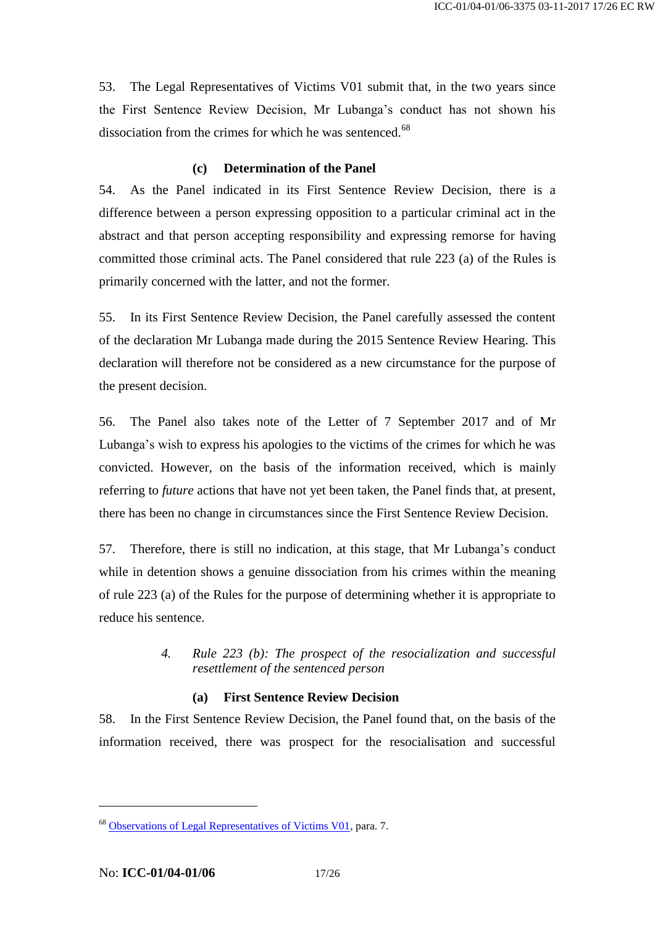53. The Legal Representatives of Victims V01 submit that, in the two years since the First Sentence Review Decision, Mr Lubanga's conduct has not shown his dissociation from the crimes for which he was sentenced.<sup>68</sup>

### **(c) Determination of the Panel**

54. As the Panel indicated in its First Sentence Review Decision, there is a difference between a person expressing opposition to a particular criminal act in the abstract and that person accepting responsibility and expressing remorse for having committed those criminal acts. The Panel considered that rule 223 (a) of the Rules is primarily concerned with the latter, and not the former.

55. In its First Sentence Review Decision, the Panel carefully assessed the content of the declaration Mr Lubanga made during the 2015 Sentence Review Hearing. This declaration will therefore not be considered as a new circumstance for the purpose of the present decision.

56. The Panel also takes note of the Letter of 7 September 2017 and of Mr Lubanga's wish to express his apologies to the victims of the crimes for which he was convicted. However, on the basis of the information received, which is mainly referring to *future* actions that have not yet been taken, the Panel finds that, at present, there has been no change in circumstances since the First Sentence Review Decision.

57. Therefore, there is still no indication, at this stage, that Mr Lubanga's conduct while in detention shows a genuine dissociation from his crimes within the meaning of rule 223 (a) of the Rules for the purpose of determining whether it is appropriate to reduce his sentence.

### *4. Rule 223 (b): The prospect of the resocialization and successful resettlement of the sentenced person*

# **(a) First Sentence Review Decision**

58. In the First Sentence Review Decision, the Panel found that, on the basis of the information received, there was prospect for the resocialisation and successful

<sup>68</sup> [Observations of Legal Representatives of Victims V01,](http://www.legal-tools.org/doc/963671/) para. 7.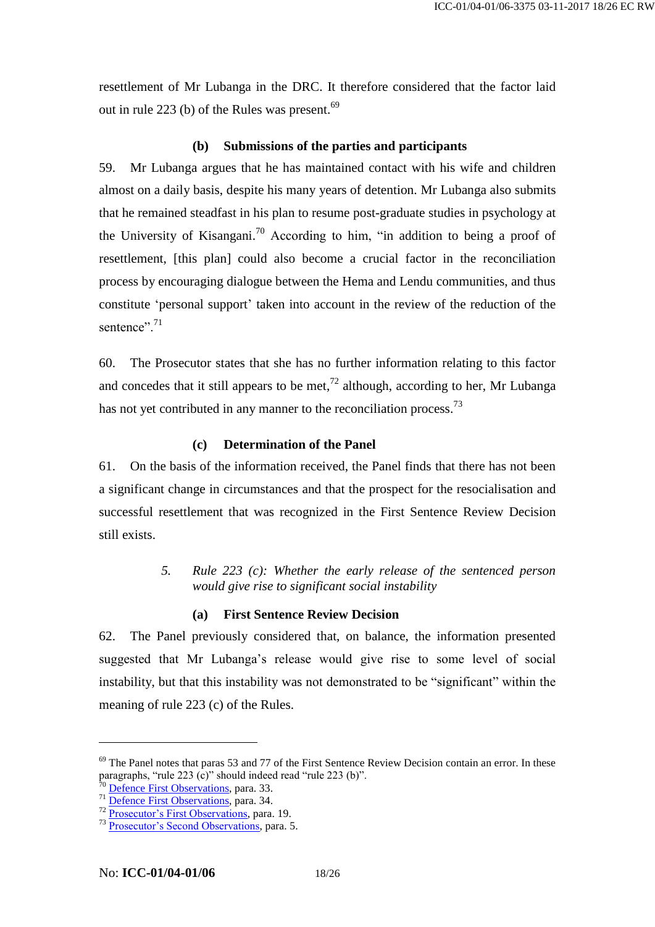resettlement of Mr Lubanga in the DRC. It therefore considered that the factor laid out in rule 223 (b) of the Rules was present.<sup>69</sup>

#### **(b) Submissions of the parties and participants**

59. Mr Lubanga argues that he has maintained contact with his wife and children almost on a daily basis, despite his many years of detention. Mr Lubanga also submits that he remained steadfast in his plan to resume post-graduate studies in psychology at the University of Kisangani.<sup>70</sup> According to him, "in addition to being a proof of resettlement, [this plan] could also become a crucial factor in the reconciliation process by encouraging dialogue between the Hema and Lendu communities, and thus constitute 'personal support' taken into account in the review of the reduction of the sentence". 71

60. The Prosecutor states that she has no further information relating to this factor and concedes that it still appears to be met, $^{72}$  although, according to her, Mr Lubanga has not yet contributed in any manner to the reconciliation process.<sup>73</sup>

#### **(c) Determination of the Panel**

61. On the basis of the information received, the Panel finds that there has not been a significant change in circumstances and that the prospect for the resocialisation and successful resettlement that was recognized in the First Sentence Review Decision still exists.

> *5. Rule 223 (c): Whether the early release of the sentenced person would give rise to significant social instability*

#### **(a) First Sentence Review Decision**

62. The Panel previously considered that, on balance, the information presented suggested that Mr Lubanga's release would give rise to some level of social instability, but that this instability was not demonstrated to be "significant" within the meaning of rule 223 (c) of the Rules.

 $69$  The Panel notes that paras 53 and 77 of the First Sentence Review Decision contain an error. In these paragraphs, "rule 223 (c)" should indeed read "rule 223 (b)".

[Defence First Observations,](http://www.legal-tools.org/doc/aaf1cc/) para. 33.

<sup>&</sup>lt;sup>71</sup> [Defence First Observations,](http://www.legal-tools.org/doc/aaf1cc/) para. 34.

<sup>&</sup>lt;sup>72</sup> [Prosecutor's First Observations,](http://www.legal-tools.org/doc/eef498/) para. 19.

<sup>73</sup> [Prosecutor's Second Observations,](http://www.legal-tools.org/doc/f95d00/) para. 5.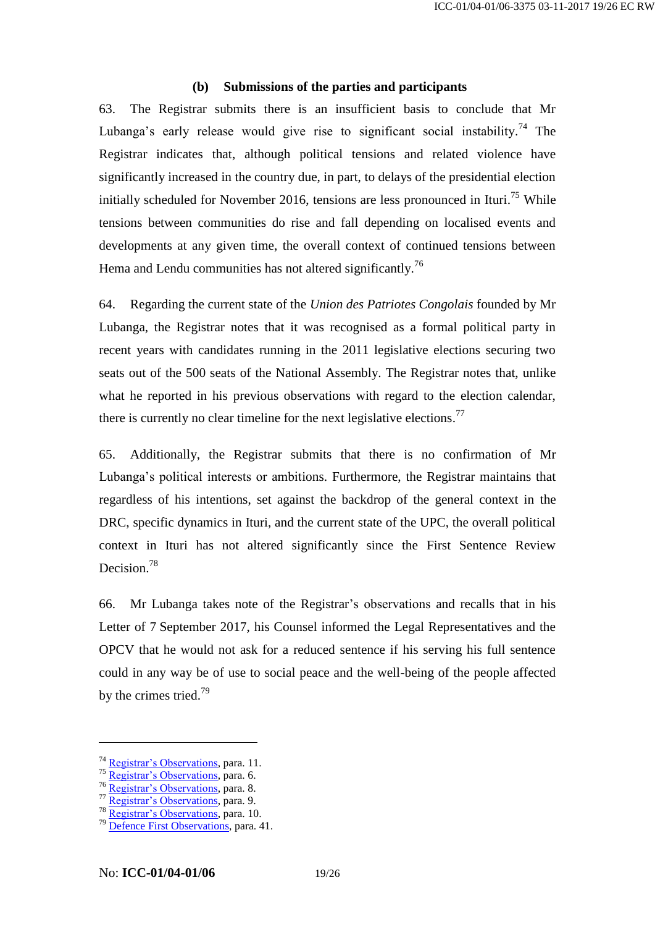# **(b) Submissions of the parties and participants**

63. The Registrar submits there is an insufficient basis to conclude that Mr Lubanga's early release would give rise to significant social instability.<sup>74</sup> The Registrar indicates that, although political tensions and related violence have significantly increased in the country due, in part, to delays of the presidential election initially scheduled for November 2016, tensions are less pronounced in Ituri.<sup>75</sup> While tensions between communities do rise and fall depending on localised events and developments at any given time, the overall context of continued tensions between Hema and Lendu communities has not altered significantly.<sup>76</sup>

64. Regarding the current state of the *Union des Patriotes Congolais* founded by Mr Lubanga, the Registrar notes that it was recognised as a formal political party in recent years with candidates running in the 2011 legislative elections securing two seats out of the 500 seats of the National Assembly. The Registrar notes that, unlike what he reported in his previous observations with regard to the election calendar, there is currently no clear timeline for the next legislative elections.<sup>77</sup>

65. Additionally, the Registrar submits that there is no confirmation of Mr Lubanga's political interests or ambitions. Furthermore, the Registrar maintains that regardless of his intentions, set against the backdrop of the general context in the DRC, specific dynamics in Ituri, and the current state of the UPC, the overall political context in Ituri has not altered significantly since the First Sentence Review Decision. 78

66. Mr Lubanga takes note of the Registrar's observations and recalls that in his Letter of 7 September 2017, his Counsel informed the Legal Representatives and the OPCV that he would not ask for a reduced sentence if his serving his full sentence could in any way be of use to social peace and the well-being of the people affected by the crimes tried.<sup>79</sup>

<sup>&</sup>lt;sup>74</sup> [Registrar's Observations,](http://www.legal-tools.org/doc/23cacd/) para. 11.

<sup>&</sup>lt;sup>75</sup> [Registrar's Observations,](http://www.legal-tools.org/doc/23cacd/) para. 6.

<sup>&</sup>lt;sup>76</sup> [Registrar's Observations,](http://www.legal-tools.org/doc/23cacd/) para. 8.

<sup>77</sup> [Registrar's Observations,](http://www.legal-tools.org/doc/23cacd/) para. 9.

<sup>78</sup> [Registrar's Observations,](http://www.legal-tools.org/doc/23cacd/) para. 10.

<sup>79</sup> [Defence First Observations,](http://www.legal-tools.org/doc/aaf1cc/) para. 41.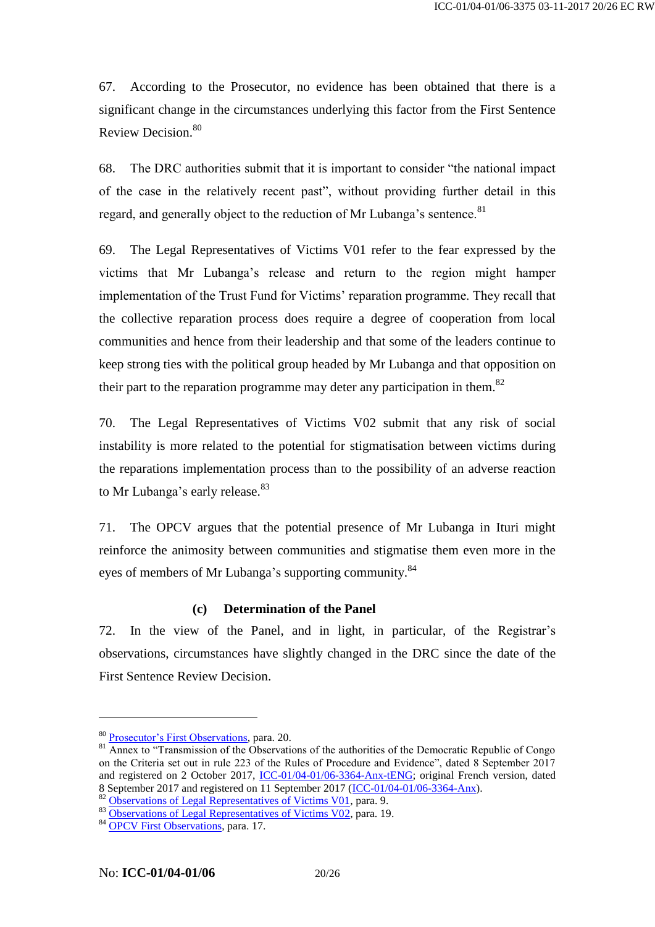67. According to the Prosecutor, no evidence has been obtained that there is a significant change in the circumstances underlying this factor from the First Sentence Review Decision.<sup>80</sup>

68. The DRC authorities submit that it is important to consider "the national impact of the case in the relatively recent past", without providing further detail in this regard, and generally object to the reduction of Mr Lubanga's sentence.<sup>81</sup>

69. The Legal Representatives of Victims V01 refer to the fear expressed by the victims that Mr Lubanga's release and return to the region might hamper implementation of the Trust Fund for Victims' reparation programme. They recall that the collective reparation process does require a degree of cooperation from local communities and hence from their leadership and that some of the leaders continue to keep strong ties with the political group headed by Mr Lubanga and that opposition on their part to the reparation programme may deter any participation in them.<sup>82</sup>

70. The Legal Representatives of Victims V02 submit that any risk of social instability is more related to the potential for stigmatisation between victims during the reparations implementation process than to the possibility of an adverse reaction to Mr Lubanga's early release.<sup>83</sup>

71. The OPCV argues that the potential presence of Mr Lubanga in Ituri might reinforce the animosity between communities and stigmatise them even more in the eyes of members of Mr Lubanga's supporting community.<sup>84</sup>

#### **(c) Determination of the Panel**

72. In the view of the Panel, and in light, in particular, of the Registrar's observations, circumstances have slightly changed in the DRC since the date of the First Sentence Review Decision.

<sup>80</sup> [Prosecutor's First Observations,](http://www.legal-tools.org/doc/eef498/) para. 20.

 $81$  Annex to "Transmission of the Observations of the authorities of the Democratic Republic of Congo on the Criteria set out in rule 223 of the Rules of Procedure and Evidence", dated 8 September 2017 and registered on 2 October 2017, [ICC-01/04-01/06-3364-Anx-tENG;](http://www.legal-tools.org/doc/1b6933/) original French version, dated 8 September 2017 and registered on 11 September 2017 [\(ICC-01/04-01/06-3364-Anx\)](http://www.legal-tools.org/doc/8ca25f/).

<sup>82</sup> [Observations of Legal Representatives of Victims V01,](http://www.legal-tools.org/doc/963671/) para. 9.

<sup>83</sup> [Observations of Legal Representatives of Victims V02,](http://www.legal-tools.org/doc/a23069/) para. 19.

<sup>84</sup> [OPCV First Observations,](http://www.legal-tools.org/doc/f97418/) para. 17.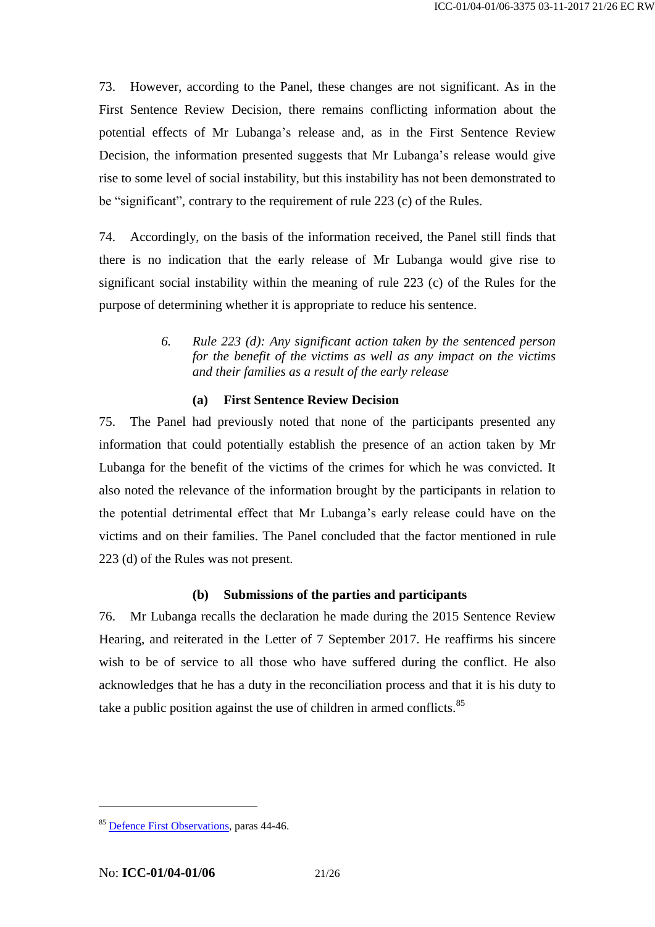73. However, according to the Panel, these changes are not significant. As in the First Sentence Review Decision, there remains conflicting information about the potential effects of Mr Lubanga's release and, as in the First Sentence Review Decision, the information presented suggests that Mr Lubanga's release would give rise to some level of social instability, but this instability has not been demonstrated to be "significant", contrary to the requirement of rule 223 (c) of the Rules.

74. Accordingly, on the basis of the information received, the Panel still finds that there is no indication that the early release of Mr Lubanga would give rise to significant social instability within the meaning of rule 223 (c) of the Rules for the purpose of determining whether it is appropriate to reduce his sentence.

> *6. Rule 223 (d): Any significant action taken by the sentenced person for the benefit of the victims as well as any impact on the victims and their families as a result of the early release*

### **(a) First Sentence Review Decision**

75. The Panel had previously noted that none of the participants presented any information that could potentially establish the presence of an action taken by Mr Lubanga for the benefit of the victims of the crimes for which he was convicted. It also noted the relevance of the information brought by the participants in relation to the potential detrimental effect that Mr Lubanga's early release could have on the victims and on their families. The Panel concluded that the factor mentioned in rule 223 (d) of the Rules was not present.

### **(b) Submissions of the parties and participants**

76. Mr Lubanga recalls the declaration he made during the 2015 Sentence Review Hearing, and reiterated in the Letter of 7 September 2017. He reaffirms his sincere wish to be of service to all those who have suffered during the conflict. He also acknowledges that he has a duty in the reconciliation process and that it is his duty to take a public position against the use of children in armed conflicts. $85$ 

<sup>&</sup>lt;sup>85</sup> [Defence First Observations,](http://www.legal-tools.org/doc/aaf1cc/) paras 44-46.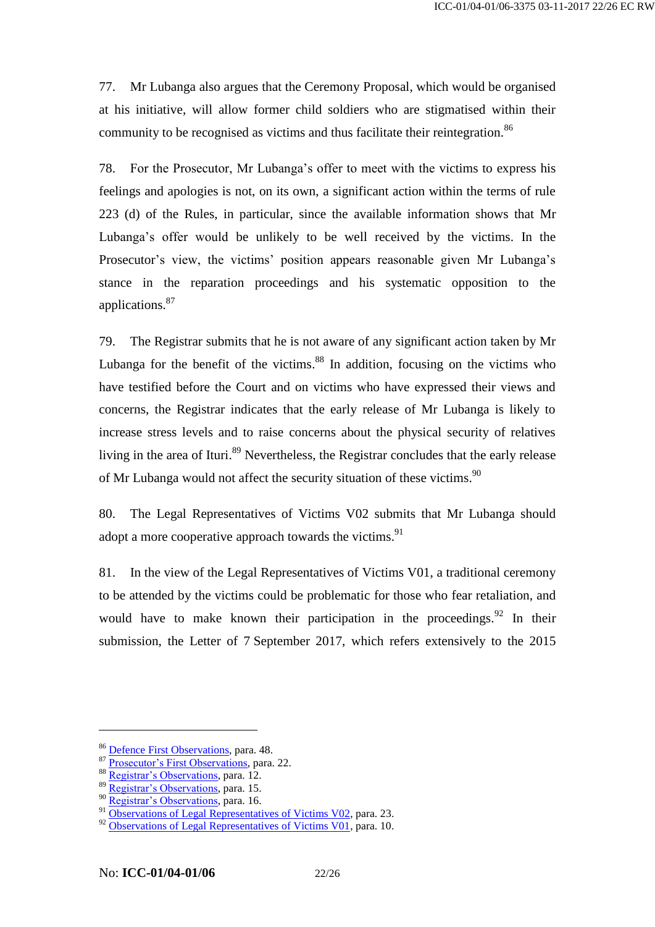77. Mr Lubanga also argues that the Ceremony Proposal, which would be organised at his initiative, will allow former child soldiers who are stigmatised within their community to be recognised as victims and thus facilitate their reintegration.<sup>86</sup>

78. For the Prosecutor, Mr Lubanga's offer to meet with the victims to express his feelings and apologies is not, on its own, a significant action within the terms of rule 223 (d) of the Rules, in particular, since the available information shows that Mr Lubanga's offer would be unlikely to be well received by the victims. In the Prosecutor's view, the victims' position appears reasonable given Mr Lubanga's stance in the reparation proceedings and his systematic opposition to the applications.<sup>87</sup>

79. The Registrar submits that he is not aware of any significant action taken by Mr Lubanga for the benefit of the victims. <sup>88</sup> In addition, focusing on the victims who have testified before the Court and on victims who have expressed their views and concerns, the Registrar indicates that the early release of Mr Lubanga is likely to increase stress levels and to raise concerns about the physical security of relatives living in the area of Ituri.<sup>89</sup> Nevertheless, the Registrar concludes that the early release of Mr Lubanga would not affect the security situation of these victims.<sup>90</sup>

80. The Legal Representatives of Victims V02 submits that Mr Lubanga should adopt a more cooperative approach towards the victims.<sup>91</sup>

81. In the view of the Legal Representatives of Victims V01, a traditional ceremony to be attended by the victims could be problematic for those who fear retaliation, and would have to make known their participation in the proceedings.<sup>92</sup> In their submission, the Letter of 7 September 2017, which refers extensively to the 2015

<sup>86</sup> [Defence First Observations,](http://www.legal-tools.org/doc/aaf1cc/) para. 48.

<sup>87</sup> [Prosecutor's First Observations,](http://www.legal-tools.org/doc/eef498/) para. 22.

<sup>88</sup> [Registrar's Observations,](http://www.legal-tools.org/doc/23cacd/) para. 12.

<sup>89</sup> [Registrar's Observations,](http://www.legal-tools.org/doc/23cacd/) para. 15.

<sup>90</sup> [Registrar's Observations,](http://www.legal-tools.org/doc/23cacd/) para. 16.

<sup>&</sup>lt;sup>91</sup> [Observations of Legal Representatives of Victims V02,](http://www.legal-tools.org/doc/a23069/) para. 23.

<sup>&</sup>lt;sup>92</sup> [Observations of Legal Representatives of Victims V01,](http://www.legal-tools.org/doc/963671/) para. 10.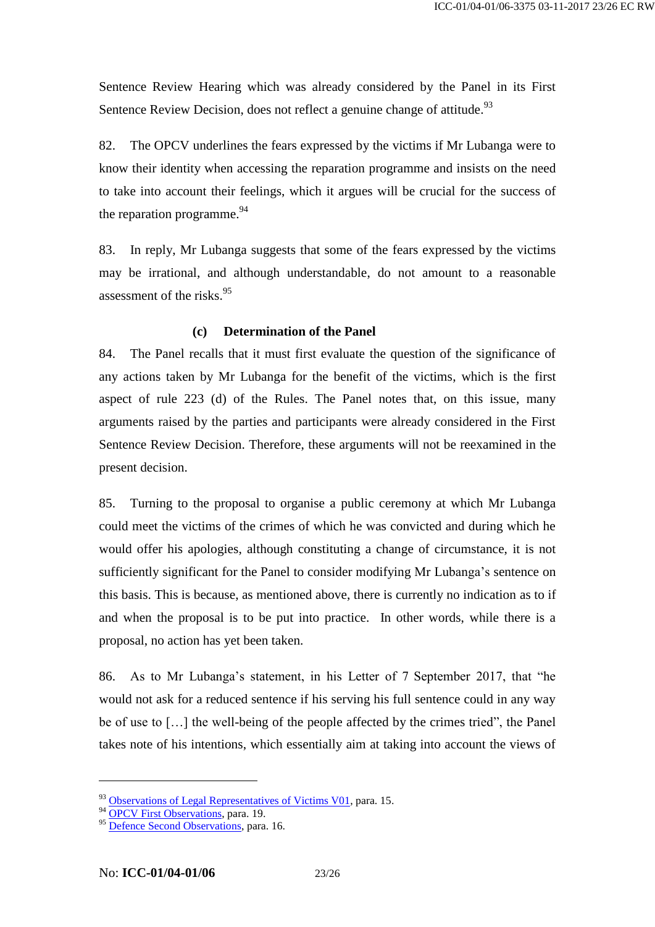Sentence Review Hearing which was already considered by the Panel in its First Sentence Review Decision, does not reflect a genuine change of attitude.<sup>93</sup>

82. The OPCV underlines the fears expressed by the victims if Mr Lubanga were to know their identity when accessing the reparation programme and insists on the need to take into account their feelings, which it argues will be crucial for the success of the reparation programme.<sup>94</sup>

83. In reply, Mr Lubanga suggests that some of the fears expressed by the victims may be irrational, and although understandable, do not amount to a reasonable assessment of the risks. 95

### **(c) Determination of the Panel**

84. The Panel recalls that it must first evaluate the question of the significance of any actions taken by Mr Lubanga for the benefit of the victims, which is the first aspect of rule 223 (d) of the Rules. The Panel notes that, on this issue, many arguments raised by the parties and participants were already considered in the First Sentence Review Decision. Therefore, these arguments will not be reexamined in the present decision.

85. Turning to the proposal to organise a public ceremony at which Mr Lubanga could meet the victims of the crimes of which he was convicted and during which he would offer his apologies, although constituting a change of circumstance, it is not sufficiently significant for the Panel to consider modifying Mr Lubanga's sentence on this basis. This is because, as mentioned above, there is currently no indication as to if and when the proposal is to be put into practice. In other words, while there is a proposal, no action has yet been taken.

86. As to Mr Lubanga's statement, in his Letter of 7 September 2017, that "he would not ask for a reduced sentence if his serving his full sentence could in any way be of use to […] the well-being of the people affected by the crimes tried", the Panel takes note of his intentions, which essentially aim at taking into account the views of

<sup>&</sup>lt;sup>93</sup> [Observations of Legal Representatives of Victims V01,](http://www.legal-tools.org/doc/963671/) para. 15.

<sup>94</sup> [OPCV First Observations,](http://www.legal-tools.org/doc/f97418/) para. 19.

<sup>&</sup>lt;sup>95</sup> [Defence Second Observations,](http://www.legal-tools.org/doc/a26000/) para. 16.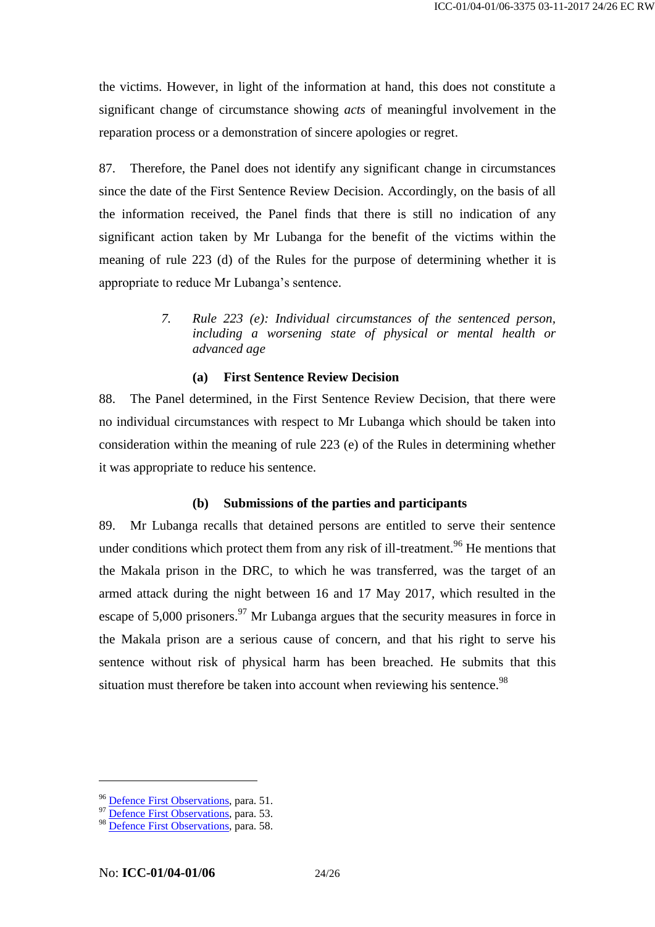the victims. However, in light of the information at hand, this does not constitute a significant change of circumstance showing *acts* of meaningful involvement in the reparation process or a demonstration of sincere apologies or regret.

87. Therefore, the Panel does not identify any significant change in circumstances since the date of the First Sentence Review Decision. Accordingly, on the basis of all the information received, the Panel finds that there is still no indication of any significant action taken by Mr Lubanga for the benefit of the victims within the meaning of rule 223 (d) of the Rules for the purpose of determining whether it is appropriate to reduce Mr Lubanga's sentence.

> *7. Rule 223 (e): Individual circumstances of the sentenced person, including a worsening state of physical or mental health or advanced age*

#### **(a) First Sentence Review Decision**

88. The Panel determined, in the First Sentence Review Decision, that there were no individual circumstances with respect to Mr Lubanga which should be taken into consideration within the meaning of rule 223 (e) of the Rules in determining whether it was appropriate to reduce his sentence.

#### **(b) Submissions of the parties and participants**

89. Mr Lubanga recalls that detained persons are entitled to serve their sentence under conditions which protect them from any risk of ill-treatment.<sup>96</sup> He mentions that the Makala prison in the DRC, to which he was transferred, was the target of an armed attack during the night between 16 and 17 May 2017, which resulted in the escape of  $5,000$  prisoners.<sup>97</sup> Mr Lubanga argues that the security measures in force in the Makala prison are a serious cause of concern, and that his right to serve his sentence without risk of physical harm has been breached. He submits that this situation must therefore be taken into account when reviewing his sentence.<sup>98</sup>

<sup>&</sup>lt;sup>96</sup> [Defence First Observations,](http://www.legal-tools.org/doc/aaf1cc/) para. 51.

<sup>97</sup> [Defence First Observations,](http://www.legal-tools.org/doc/aaf1cc/) para. 53.

<sup>&</sup>lt;sup>98</sup> Defence First [Observations,](http://www.legal-tools.org/doc/aaf1cc/) para. 58.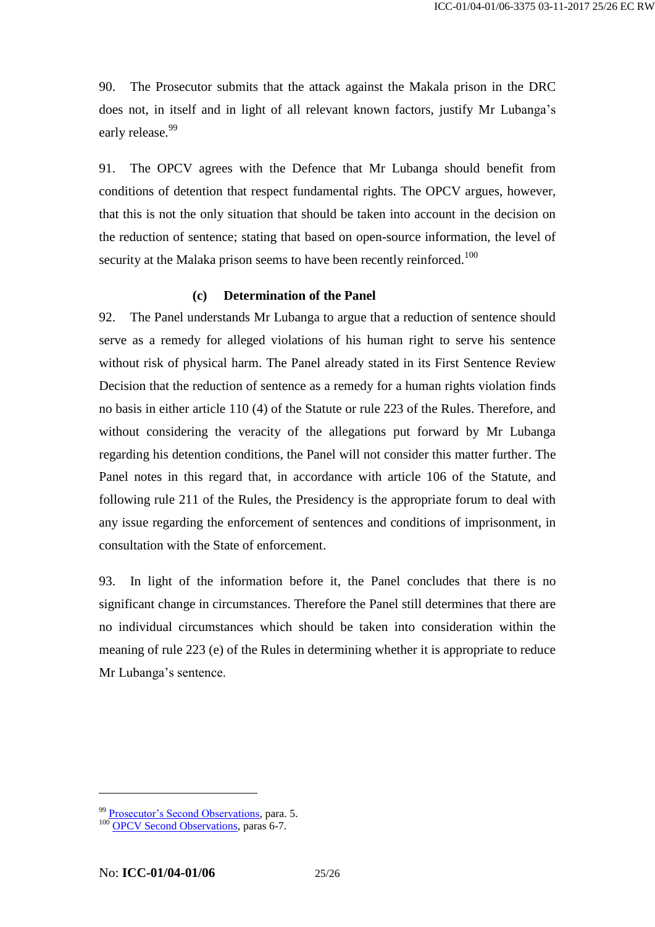90. The Prosecutor submits that the attack against the Makala prison in the DRC does not, in itself and in light of all relevant known factors, justify Mr Lubanga's early release.<sup>99</sup>

91. The OPCV agrees with the Defence that Mr Lubanga should benefit from conditions of detention that respect fundamental rights. The OPCV argues, however, that this is not the only situation that should be taken into account in the decision on the reduction of sentence; stating that based on open-source information, the level of security at the Malaka prison seems to have been recently reinforced.<sup>100</sup>

#### **(c) Determination of the Panel**

92. The Panel understands Mr Lubanga to argue that a reduction of sentence should serve as a remedy for alleged violations of his human right to serve his sentence without risk of physical harm. The Panel already stated in its First Sentence Review Decision that the reduction of sentence as a remedy for a human rights violation finds no basis in either article 110 (4) of the Statute or rule 223 of the Rules. Therefore, and without considering the veracity of the allegations put forward by Mr Lubanga regarding his detention conditions, the Panel will not consider this matter further. The Panel notes in this regard that, in accordance with article 106 of the Statute, and following rule 211 of the Rules, the Presidency is the appropriate forum to deal with any issue regarding the enforcement of sentences and conditions of imprisonment, in consultation with the State of enforcement.

93. In light of the information before it, the Panel concludes that there is no significant change in circumstances. Therefore the Panel still determines that there are no individual circumstances which should be taken into consideration within the meaning of rule 223 (e) of the Rules in determining whether it is appropriate to reduce Mr Lubanga's sentence.

<sup>&</sup>lt;sup>99</sup> [Prosecutor's Second Observations,](http://www.legal-tools.org/doc/f95d00/) para. 5.

<sup>&</sup>lt;sup>100</sup> [OPCV Second Observations,](http://www.legal-tools.org/doc/d546ff/) paras 6-7.